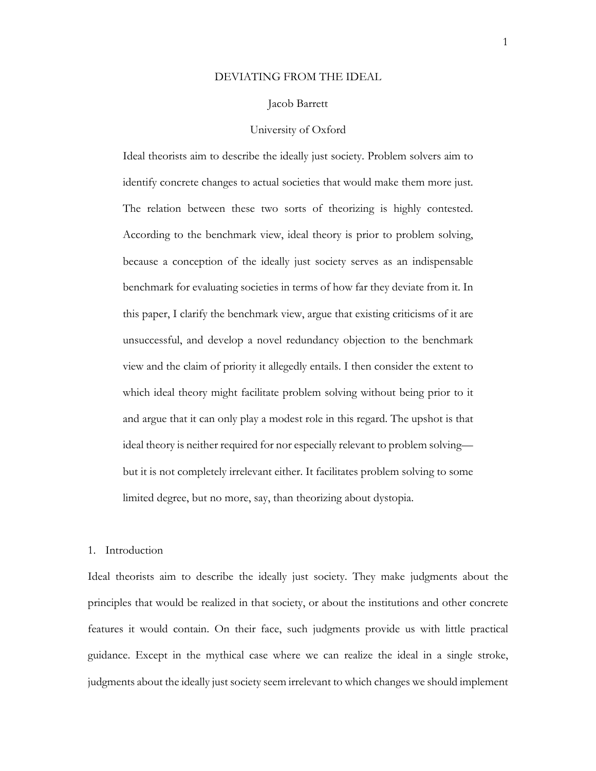#### DEVIATING FROM THE IDEAL

## Jacob Barrett

### University of Oxford

Ideal theorists aim to describe the ideally just society. Problem solvers aim to identify concrete changes to actual societies that would make them more just. The relation between these two sorts of theorizing is highly contested. According to the benchmark view, ideal theory is prior to problem solving, because a conception of the ideally just society serves as an indispensable benchmark for evaluating societies in terms of how far they deviate from it. In this paper, I clarify the benchmark view, argue that existing criticisms of it are unsuccessful, and develop a novel redundancy objection to the benchmark view and the claim of priority it allegedly entails. I then consider the extent to which ideal theory might facilitate problem solving without being prior to it and argue that it can only play a modest role in this regard. The upshot is that ideal theory is neither required for nor especially relevant to problem solving but it is not completely irrelevant either. It facilitates problem solving to some limited degree, but no more, say, than theorizing about dystopia.

## 1. Introduction

Ideal theorists aim to describe the ideally just society. They make judgments about the principles that would be realized in that society, or about the institutions and other concrete features it would contain. On their face, such judgments provide us with little practical guidance. Except in the mythical case where we can realize the ideal in a single stroke, judgments about the ideally just society seem irrelevant to which changes we should implement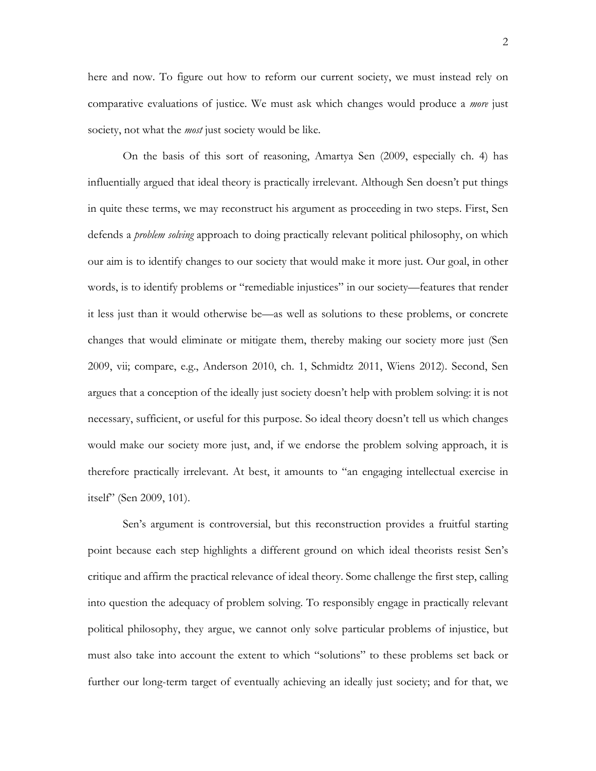here and now. To figure out how to reform our current society, we must instead rely on comparative evaluations of justice. We must ask which changes would produce a *more* just society, not what the *most* just society would be like.

On the basis of this sort of reasoning, Amartya Sen (2009, especially ch. 4) has influentially argued that ideal theory is practically irrelevant. Although Sen doesn't put things in quite these terms, we may reconstruct his argument as proceeding in two steps. First, Sen defends a *problem solving* approach to doing practically relevant political philosophy, on which our aim is to identify changes to our society that would make it more just. Our goal, in other words, is to identify problems or "remediable injustices" in our society—features that render it less just than it would otherwise be—as well as solutions to these problems, or concrete changes that would eliminate or mitigate them, thereby making our society more just (Sen 2009, vii; compare, e.g., Anderson 2010, ch. 1, Schmidtz 2011, Wiens 2012). Second, Sen argues that a conception of the ideally just society doesn't help with problem solving: it is not necessary, sufficient, or useful for this purpose. So ideal theory doesn't tell us which changes would make our society more just, and, if we endorse the problem solving approach, it is therefore practically irrelevant. At best, it amounts to "an engaging intellectual exercise in itself" (Sen 2009, 101).

 Sen's argument is controversial, but this reconstruction provides a fruitful starting point because each step highlights a different ground on which ideal theorists resist Sen's critique and affirm the practical relevance of ideal theory. Some challenge the first step, calling into question the adequacy of problem solving. To responsibly engage in practically relevant political philosophy, they argue, we cannot only solve particular problems of injustice, but must also take into account the extent to which "solutions" to these problems set back or further our long-term target of eventually achieving an ideally just society; and for that, we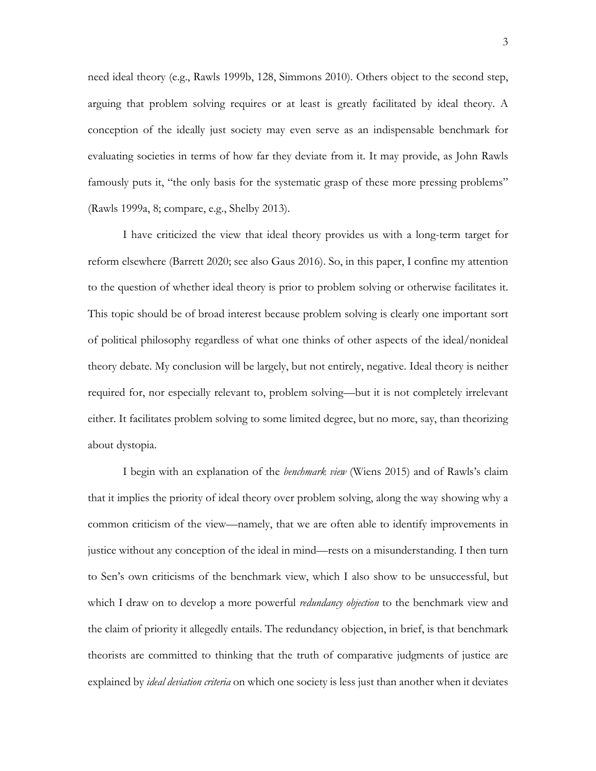need ideal theory (e.g., Rawls 1999b, 128, Simmons 2010). Others object to the second step, arguing that problem solving requires or at least is greatly facilitated by ideal theory. A conception of the ideally just society may even serve as an indispensable benchmark for evaluating societies in terms of how far they deviate from it. It may provide, as John Rawls famously puts it, "the only basis for the systematic grasp of these more pressing problems" (Rawls 1999a, 8; compare, e.g., Shelby 2013).

I have criticized the view that ideal theory provides us with a long-term target for reform elsewhere (Barrett 2020; see also Gaus 2016). So, in this paper, I confine my attention to the question of whether ideal theory is prior to problem solving or otherwise facilitates it. This topic should be of broad interest because problem solving is clearly one important sort of political philosophy regardless of what one thinks of other aspects of the ideal/nonideal theory debate. My conclusion will be largely, but not entirely, negative. Ideal theory is neither required for, nor especially relevant to, problem solving—but it is not completely irrelevant either. It facilitates problem solving to some limited degree, but no more, say, than theorizing about dystopia.

I begin with an explanation of the *benchmark view* (Wiens 2015) and of Rawls's claim that it implies the priority of ideal theory over problem solving, along the way showing why a common criticism of the view—namely, that we are often able to identify improvements in justice without any conception of the ideal in mind—rests on a misunderstanding. I then turn to Sen's own criticisms of the benchmark view, which I also show to be unsuccessful, but which I draw on to develop a more powerful *redundancy objection* to the benchmark view and the claim of priority it allegedly entails. The redundancy objection, in brief, is that benchmark theorists are committed to thinking that the truth of comparative judgments of justice are explained by *ideal deviation criteria* on which one society is less just than another when it deviates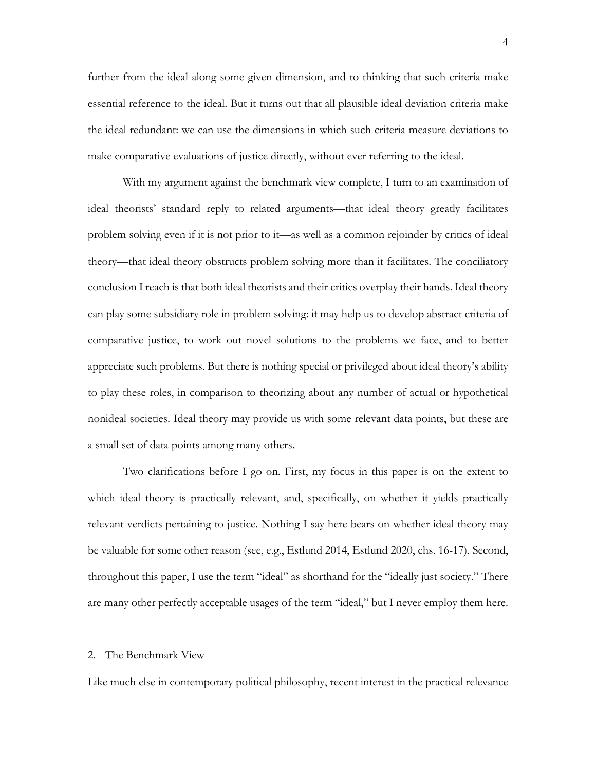further from the ideal along some given dimension, and to thinking that such criteria make essential reference to the ideal. But it turns out that all plausible ideal deviation criteria make the ideal redundant: we can use the dimensions in which such criteria measure deviations to make comparative evaluations of justice directly, without ever referring to the ideal.

With my argument against the benchmark view complete, I turn to an examination of ideal theorists' standard reply to related arguments—that ideal theory greatly facilitates problem solving even if it is not prior to it—as well as a common rejoinder by critics of ideal theory—that ideal theory obstructs problem solving more than it facilitates. The conciliatory conclusion I reach is that both ideal theorists and their critics overplay their hands. Ideal theory can play some subsidiary role in problem solving: it may help us to develop abstract criteria of comparative justice, to work out novel solutions to the problems we face, and to better appreciate such problems. But there is nothing special or privileged about ideal theory's ability to play these roles, in comparison to theorizing about any number of actual or hypothetical nonideal societies. Ideal theory may provide us with some relevant data points, but these are a small set of data points among many others.

Two clarifications before I go on. First, my focus in this paper is on the extent to which ideal theory is practically relevant, and, specifically, on whether it yields practically relevant verdicts pertaining to justice. Nothing I say here bears on whether ideal theory may be valuable for some other reason (see, e.g., Estlund 2014, Estlund 2020, chs. 16-17). Second, throughout this paper, I use the term "ideal" as shorthand for the "ideally just society." There are many other perfectly acceptable usages of the term "ideal," but I never employ them here.

#### 2. The Benchmark View

Like much else in contemporary political philosophy, recent interest in the practical relevance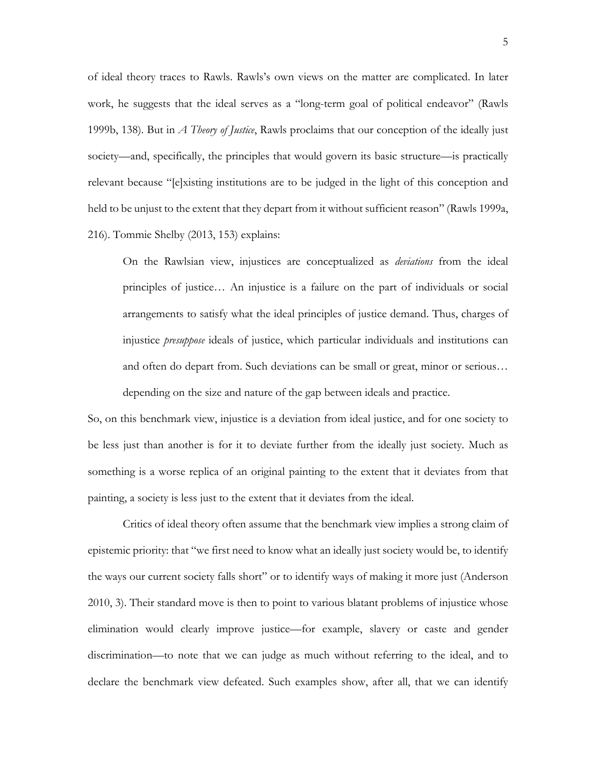of ideal theory traces to Rawls. Rawls's own views on the matter are complicated. In later work, he suggests that the ideal serves as a "long-term goal of political endeavor" (Rawls 1999b, 138). But in *A Theory of Justice*, Rawls proclaims that our conception of the ideally just society—and, specifically, the principles that would govern its basic structure—is practically relevant because "[e]xisting institutions are to be judged in the light of this conception and held to be unjust to the extent that they depart from it without sufficient reason" (Rawls 1999a, 216). Tommie Shelby (2013, 153) explains:

On the Rawlsian view, injustices are conceptualized as *deviations* from the ideal principles of justice… An injustice is a failure on the part of individuals or social arrangements to satisfy what the ideal principles of justice demand. Thus, charges of injustice *presuppose* ideals of justice, which particular individuals and institutions can and often do depart from. Such deviations can be small or great, minor or serious… depending on the size and nature of the gap between ideals and practice.

So, on this benchmark view, injustice is a deviation from ideal justice, and for one society to be less just than another is for it to deviate further from the ideally just society. Much as something is a worse replica of an original painting to the extent that it deviates from that painting, a society is less just to the extent that it deviates from the ideal.

Critics of ideal theory often assume that the benchmark view implies a strong claim of epistemic priority: that "we first need to know what an ideally just society would be, to identify the ways our current society falls short" or to identify ways of making it more just (Anderson 2010, 3). Their standard move is then to point to various blatant problems of injustice whose elimination would clearly improve justice—for example, slavery or caste and gender discrimination—to note that we can judge as much without referring to the ideal, and to declare the benchmark view defeated. Such examples show, after all, that we can identify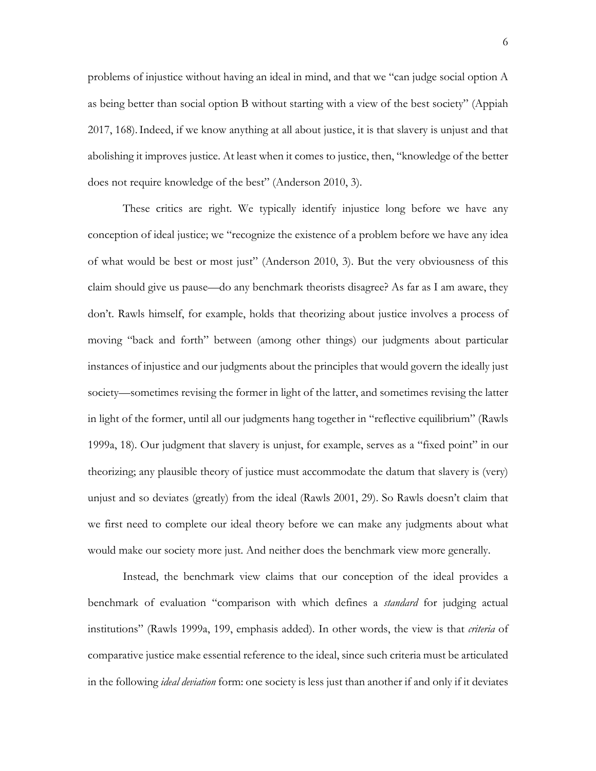problems of injustice without having an ideal in mind, and that we "can judge social option A as being better than social option B without starting with a view of the best society" (Appiah 2017, 168).Indeed, if we know anything at all about justice, it is that slavery is unjust and that abolishing it improves justice. At least when it comes to justice, then, "knowledge of the better does not require knowledge of the best" (Anderson 2010, 3).

These critics are right. We typically identify injustice long before we have any conception of ideal justice; we "recognize the existence of a problem before we have any idea of what would be best or most just" (Anderson 2010, 3). But the very obviousness of this claim should give us pause—do any benchmark theorists disagree? As far as I am aware, they don't. Rawls himself, for example, holds that theorizing about justice involves a process of moving "back and forth" between (among other things) our judgments about particular instances of injustice and our judgments about the principles that would govern the ideally just society—sometimes revising the former in light of the latter, and sometimes revising the latter in light of the former, until all our judgments hang together in "reflective equilibrium" (Rawls 1999a, 18). Our judgment that slavery is unjust, for example, serves as a "fixed point" in our theorizing; any plausible theory of justice must accommodate the datum that slavery is (very) unjust and so deviates (greatly) from the ideal (Rawls 2001, 29). So Rawls doesn't claim that we first need to complete our ideal theory before we can make any judgments about what would make our society more just. And neither does the benchmark view more generally.

Instead, the benchmark view claims that our conception of the ideal provides a benchmark of evaluation "comparison with which defines a *standard* for judging actual institutions" (Rawls 1999a, 199, emphasis added). In other words, the view is that *criteria* of comparative justice make essential reference to the ideal, since such criteria must be articulated in the following *ideal deviation* form: one society is less just than another if and only if it deviates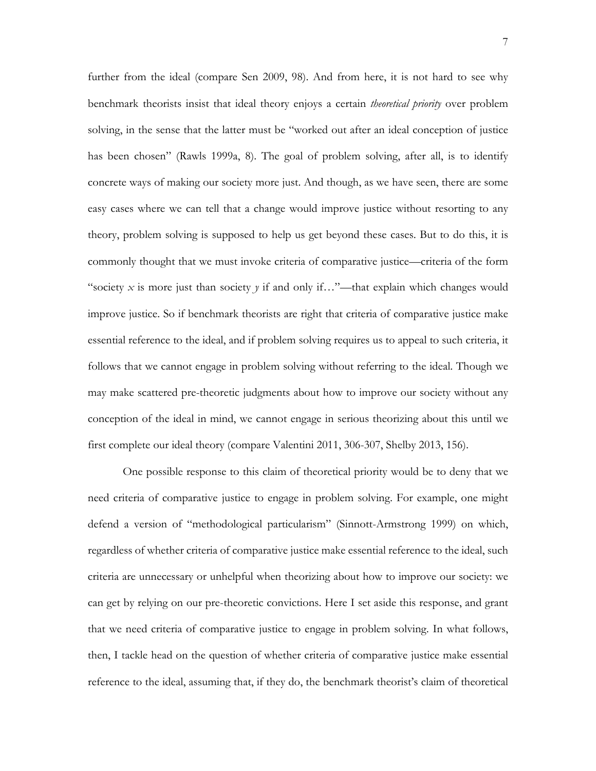further from the ideal (compare Sen 2009, 98). And from here, it is not hard to see why benchmark theorists insist that ideal theory enjoys a certain *theoretical priority* over problem solving, in the sense that the latter must be "worked out after an ideal conception of justice has been chosen" (Rawls 1999a, 8). The goal of problem solving, after all, is to identify concrete ways of making our society more just. And though, as we have seen, there are some easy cases where we can tell that a change would improve justice without resorting to any theory, problem solving is supposed to help us get beyond these cases. But to do this, it is commonly thought that we must invoke criteria of comparative justice—criteria of the form "society  $x$  is more just than society  $y$  if and only if..."—that explain which changes would improve justice. So if benchmark theorists are right that criteria of comparative justice make essential reference to the ideal, and if problem solving requires us to appeal to such criteria, it follows that we cannot engage in problem solving without referring to the ideal. Though we may make scattered pre-theoretic judgments about how to improve our society without any conception of the ideal in mind, we cannot engage in serious theorizing about this until we first complete our ideal theory (compare Valentini 2011, 306-307, Shelby 2013, 156).

One possible response to this claim of theoretical priority would be to deny that we need criteria of comparative justice to engage in problem solving. For example, one might defend a version of "methodological particularism" (Sinnott-Armstrong 1999) on which, regardless of whether criteria of comparative justice make essential reference to the ideal, such criteria are unnecessary or unhelpful when theorizing about how to improve our society: we can get by relying on our pre-theoretic convictions. Here I set aside this response, and grant that we need criteria of comparative justice to engage in problem solving. In what follows, then, I tackle head on the question of whether criteria of comparative justice make essential reference to the ideal, assuming that, if they do, the benchmark theorist's claim of theoretical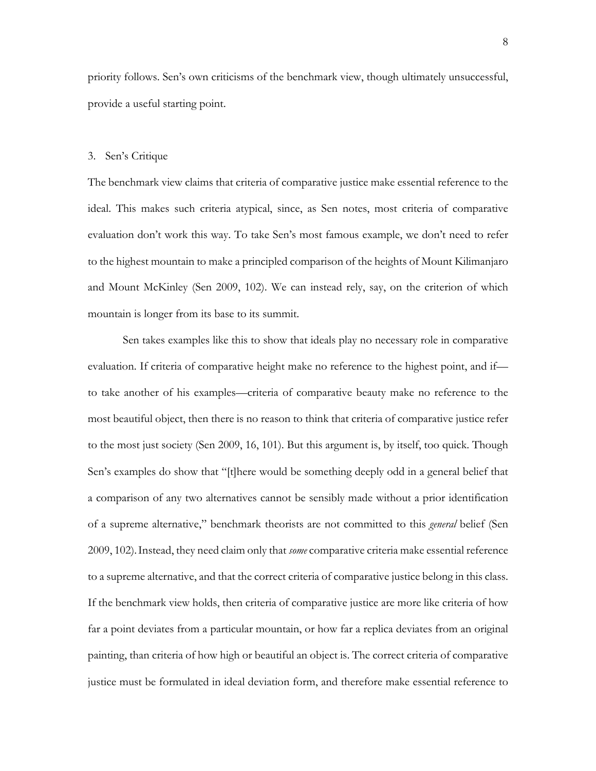priority follows. Sen's own criticisms of the benchmark view, though ultimately unsuccessful, provide a useful starting point.

#### 3. Sen's Critique

The benchmark view claims that criteria of comparative justice make essential reference to the ideal. This makes such criteria atypical, since, as Sen notes, most criteria of comparative evaluation don't work this way. To take Sen's most famous example, we don't need to refer to the highest mountain to make a principled comparison of the heights of Mount Kilimanjaro and Mount McKinley (Sen 2009, 102). We can instead rely, say, on the criterion of which mountain is longer from its base to its summit.

Sen takes examples like this to show that ideals play no necessary role in comparative evaluation. If criteria of comparative height make no reference to the highest point, and if to take another of his examples—criteria of comparative beauty make no reference to the most beautiful object, then there is no reason to think that criteria of comparative justice refer to the most just society (Sen 2009, 16, 101). But this argument is, by itself, too quick. Though Sen's examples do show that "[t]here would be something deeply odd in a general belief that a comparison of any two alternatives cannot be sensibly made without a prior identification of a supreme alternative," benchmark theorists are not committed to this *general* belief (Sen 2009, 102).Instead, they need claim only that *some* comparative criteria make essential reference to a supreme alternative, and that the correct criteria of comparative justice belong in this class. If the benchmark view holds, then criteria of comparative justice are more like criteria of how far a point deviates from a particular mountain, or how far a replica deviates from an original painting, than criteria of how high or beautiful an object is. The correct criteria of comparative justice must be formulated in ideal deviation form, and therefore make essential reference to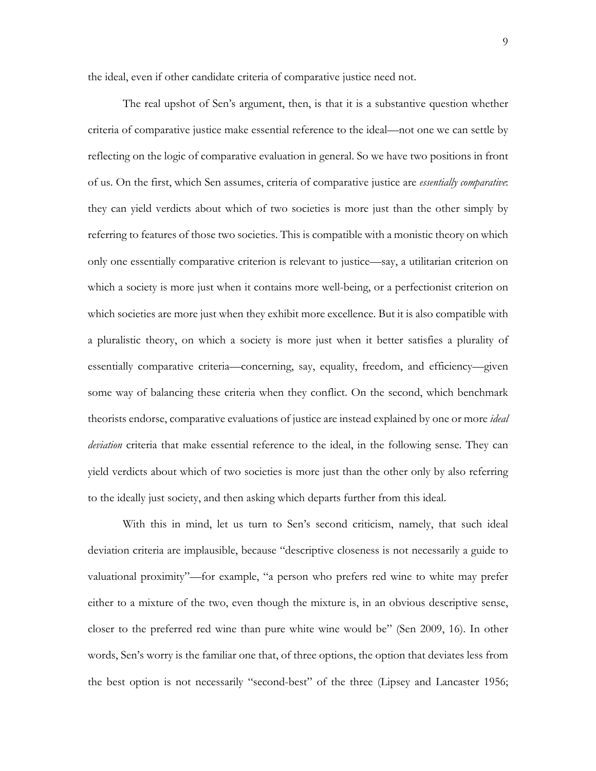the ideal, even if other candidate criteria of comparative justice need not.

The real upshot of Sen's argument, then, is that it is a substantive question whether criteria of comparative justice make essential reference to the ideal—not one we can settle by reflecting on the logic of comparative evaluation in general. So we have two positions in front of us. On the first, which Sen assumes, criteria of comparative justice are *essentially comparative*: they can yield verdicts about which of two societies is more just than the other simply by referring to features of those two societies. This is compatible with a monistic theory on which only one essentially comparative criterion is relevant to justice—say, a utilitarian criterion on which a society is more just when it contains more well-being, or a perfectionist criterion on which societies are more just when they exhibit more excellence. But it is also compatible with a pluralistic theory, on which a society is more just when it better satisfies a plurality of essentially comparative criteria—concerning, say, equality, freedom, and efficiency—given some way of balancing these criteria when they conflict. On the second, which benchmark theorists endorse, comparative evaluations of justice are instead explained by one or more *ideal deviation* criteria that make essential reference to the ideal, in the following sense. They can yield verdicts about which of two societies is more just than the other only by also referring to the ideally just society, and then asking which departs further from this ideal.

With this in mind, let us turn to Sen's second criticism, namely, that such ideal deviation criteria are implausible, because "descriptive closeness is not necessarily a guide to valuational proximity"—for example, "a person who prefers red wine to white may prefer either to a mixture of the two, even though the mixture is, in an obvious descriptive sense, closer to the preferred red wine than pure white wine would be" (Sen 2009, 16). In other words, Sen's worry is the familiar one that, of three options, the option that deviates less from the best option is not necessarily "second-best" of the three (Lipsey and Lancaster 1956;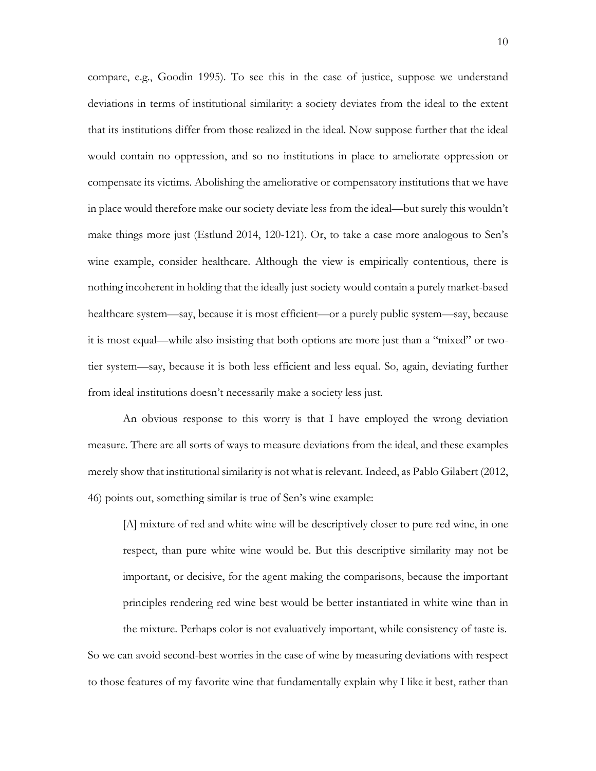compare, e.g., Goodin 1995). To see this in the case of justice, suppose we understand deviations in terms of institutional similarity: a society deviates from the ideal to the extent that its institutions differ from those realized in the ideal. Now suppose further that the ideal would contain no oppression, and so no institutions in place to ameliorate oppression or compensate its victims. Abolishing the ameliorative or compensatory institutions that we have in place would therefore make our society deviate less from the ideal—but surely this wouldn't make things more just (Estlund 2014, 120-121). Or, to take a case more analogous to Sen's wine example, consider healthcare. Although the view is empirically contentious, there is nothing incoherent in holding that the ideally just society would contain a purely market-based healthcare system—say, because it is most efficient—or a purely public system—say, because it is most equal—while also insisting that both options are more just than a "mixed" or twotier system—say, because it is both less efficient and less equal. So, again, deviating further from ideal institutions doesn't necessarily make a society less just.

An obvious response to this worry is that I have employed the wrong deviation measure. There are all sorts of ways to measure deviations from the ideal, and these examples merely show that institutional similarity is not what is relevant. Indeed, as Pablo Gilabert (2012, 46) points out, something similar is true of Sen's wine example:

[A] mixture of red and white wine will be descriptively closer to pure red wine, in one respect, than pure white wine would be. But this descriptive similarity may not be important, or decisive, for the agent making the comparisons, because the important principles rendering red wine best would be better instantiated in white wine than in the mixture. Perhaps color is not evaluatively important, while consistency of taste is. So we can avoid second-best worries in the case of wine by measuring deviations with respect to those features of my favorite wine that fundamentally explain why I like it best, rather than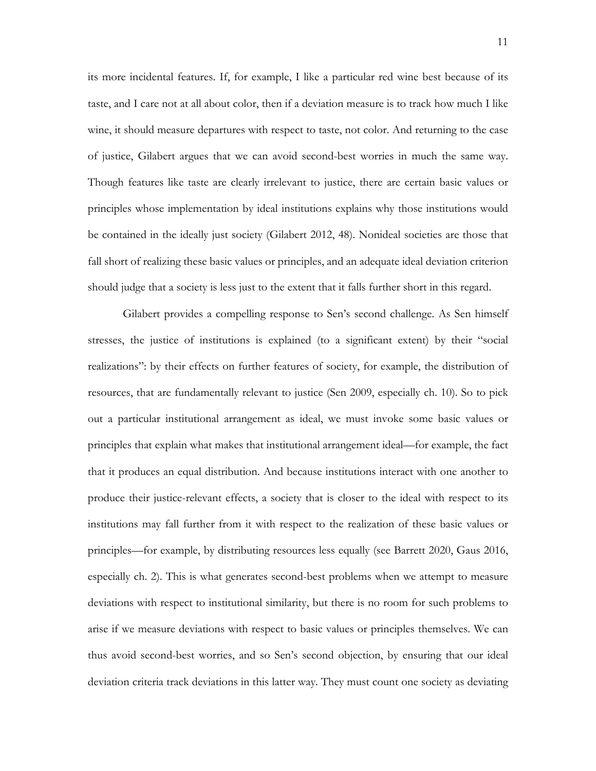its more incidental features. If, for example, I like a particular red wine best because of its taste, and I care not at all about color, then if a deviation measure is to track how much I like wine, it should measure departures with respect to taste, not color. And returning to the case of justice, Gilabert argues that we can avoid second-best worries in much the same way. Though features like taste are clearly irrelevant to justice, there are certain basic values or principles whose implementation by ideal institutions explains why those institutions would be contained in the ideally just society (Gilabert 2012, 48). Nonideal societies are those that fall short of realizing these basic values or principles, and an adequate ideal deviation criterion should judge that a society is less just to the extent that it falls further short in this regard.

Gilabert provides a compelling response to Sen's second challenge. As Sen himself stresses, the justice of institutions is explained (to a significant extent) by their "social realizations": by their effects on further features of society, for example, the distribution of resources, that are fundamentally relevant to justice (Sen 2009, especially ch. 10). So to pick out a particular institutional arrangement as ideal, we must invoke some basic values or principles that explain what makes that institutional arrangement ideal—for example, the fact that it produces an equal distribution. And because institutions interact with one another to produce their justice-relevant effects, a society that is closer to the ideal with respect to its institutions may fall further from it with respect to the realization of these basic values or principles—for example, by distributing resources less equally (see Barrett 2020, Gaus 2016, especially ch. 2). This is what generates second-best problems when we attempt to measure deviations with respect to institutional similarity, but there is no room for such problems to arise if we measure deviations with respect to basic values or principles themselves. We can thus avoid second-best worries, and so Sen's second objection, by ensuring that our ideal deviation criteria track deviations in this latter way. They must count one society as deviating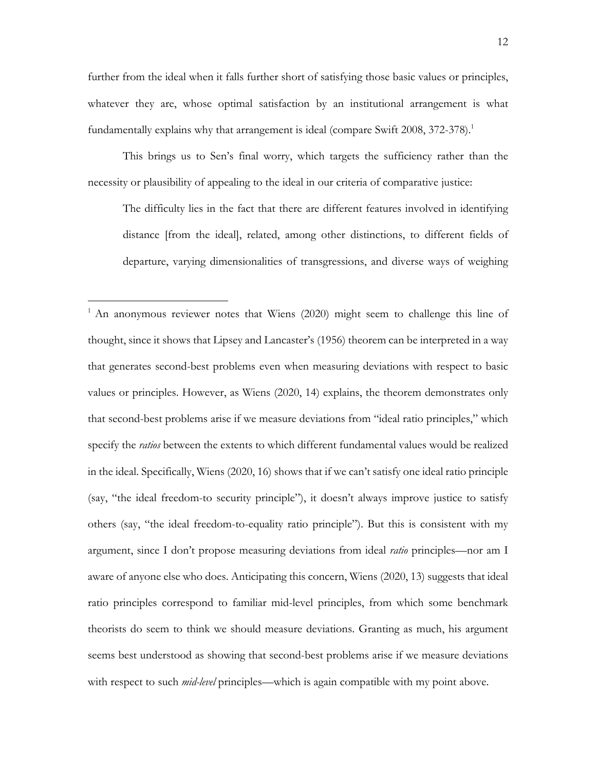further from the ideal when it falls further short of satisfying those basic values or principles, whatever they are, whose optimal satisfaction by an institutional arrangement is what fundamentally explains why that arrangement is ideal (compare Swift 2008, 372-378). 1

This brings us to Sen's final worry, which targets the sufficiency rather than the necessity or plausibility of appealing to the ideal in our criteria of comparative justice:

The difficulty lies in the fact that there are different features involved in identifying distance [from the ideal], related, among other distinctions, to different fields of departure, varying dimensionalities of transgressions, and diverse ways of weighing

<sup>1</sup> An anonymous reviewer notes that Wiens (2020) might seem to challenge this line of thought, since it shows that Lipsey and Lancaster's (1956) theorem can be interpreted in a way that generates second-best problems even when measuring deviations with respect to basic values or principles. However, as Wiens (2020, 14) explains, the theorem demonstrates only that second-best problems arise if we measure deviations from "ideal ratio principles," which specify the *ratios* between the extents to which different fundamental values would be realized in the ideal. Specifically, Wiens (2020, 16) shows that if we can't satisfy one ideal ratio principle (say, "the ideal freedom-to security principle"), it doesn't always improve justice to satisfy others (say, "the ideal freedom-to-equality ratio principle"). But this is consistent with my argument, since I don't propose measuring deviations from ideal *ratio* principles—nor am I aware of anyone else who does. Anticipating this concern, Wiens (2020, 13) suggests that ideal ratio principles correspond to familiar mid-level principles, from which some benchmark theorists do seem to think we should measure deviations. Granting as much, his argument seems best understood as showing that second-best problems arise if we measure deviations with respect to such *mid-level* principles—which is again compatible with my point above.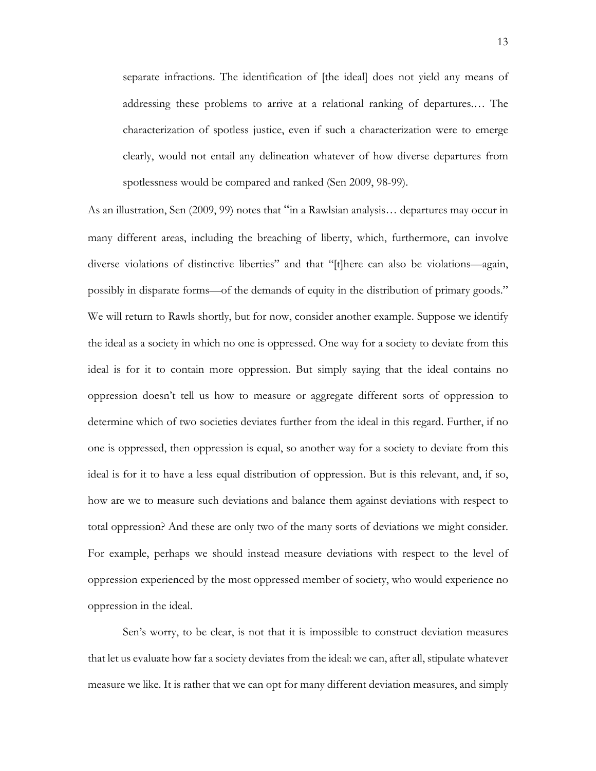separate infractions. The identification of [the ideal] does not yield any means of addressing these problems to arrive at a relational ranking of departures.… The characterization of spotless justice, even if such a characterization were to emerge clearly, would not entail any delineation whatever of how diverse departures from spotlessness would be compared and ranked (Sen 2009, 98-99).

As an illustration, Sen (2009, 99) notes that "in a Rawlsian analysis… departures may occur in many different areas, including the breaching of liberty, which, furthermore, can involve diverse violations of distinctive liberties" and that "[t]here can also be violations—again, possibly in disparate forms—of the demands of equity in the distribution of primary goods." We will return to Rawls shortly, but for now, consider another example. Suppose we identify the ideal as a society in which no one is oppressed. One way for a society to deviate from this ideal is for it to contain more oppression. But simply saying that the ideal contains no oppression doesn't tell us how to measure or aggregate different sorts of oppression to determine which of two societies deviates further from the ideal in this regard. Further, if no one is oppressed, then oppression is equal, so another way for a society to deviate from this ideal is for it to have a less equal distribution of oppression. But is this relevant, and, if so, how are we to measure such deviations and balance them against deviations with respect to total oppression? And these are only two of the many sorts of deviations we might consider. For example, perhaps we should instead measure deviations with respect to the level of oppression experienced by the most oppressed member of society, who would experience no oppression in the ideal.

Sen's worry, to be clear, is not that it is impossible to construct deviation measures that let us evaluate how far a society deviates from the ideal: we can, after all, stipulate whatever measure we like. It is rather that we can opt for many different deviation measures, and simply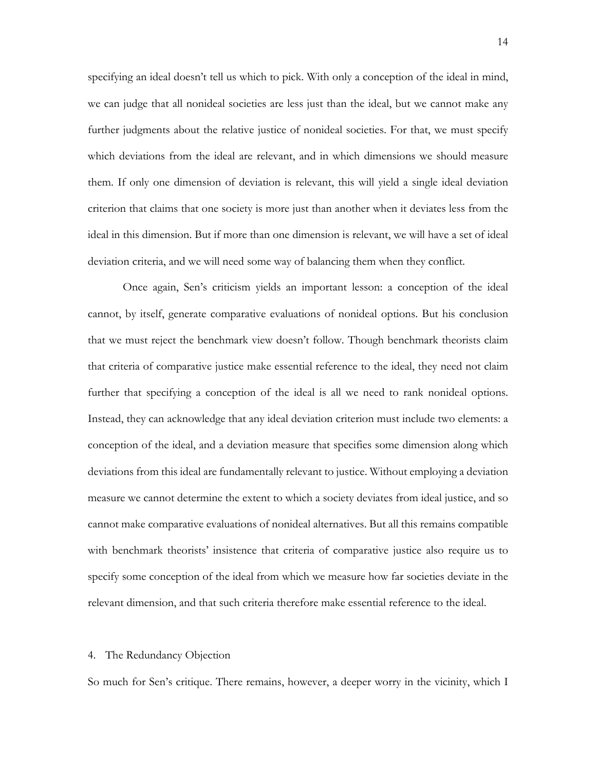specifying an ideal doesn't tell us which to pick. With only a conception of the ideal in mind, we can judge that all nonideal societies are less just than the ideal, but we cannot make any further judgments about the relative justice of nonideal societies. For that, we must specify which deviations from the ideal are relevant, and in which dimensions we should measure them. If only one dimension of deviation is relevant, this will yield a single ideal deviation criterion that claims that one society is more just than another when it deviates less from the ideal in this dimension. But if more than one dimension is relevant, we will have a set of ideal deviation criteria, and we will need some way of balancing them when they conflict.

Once again, Sen's criticism yields an important lesson: a conception of the ideal cannot, by itself, generate comparative evaluations of nonideal options. But his conclusion that we must reject the benchmark view doesn't follow. Though benchmark theorists claim that criteria of comparative justice make essential reference to the ideal, they need not claim further that specifying a conception of the ideal is all we need to rank nonideal options. Instead, they can acknowledge that any ideal deviation criterion must include two elements: a conception of the ideal, and a deviation measure that specifies some dimension along which deviations from this ideal are fundamentally relevant to justice. Without employing a deviation measure we cannot determine the extent to which a society deviates from ideal justice, and so cannot make comparative evaluations of nonideal alternatives. But all this remains compatible with benchmark theorists' insistence that criteria of comparative justice also require us to specify some conception of the ideal from which we measure how far societies deviate in the relevant dimension, and that such criteria therefore make essential reference to the ideal.

### 4. The Redundancy Objection

So much for Sen's critique. There remains, however, a deeper worry in the vicinity, which I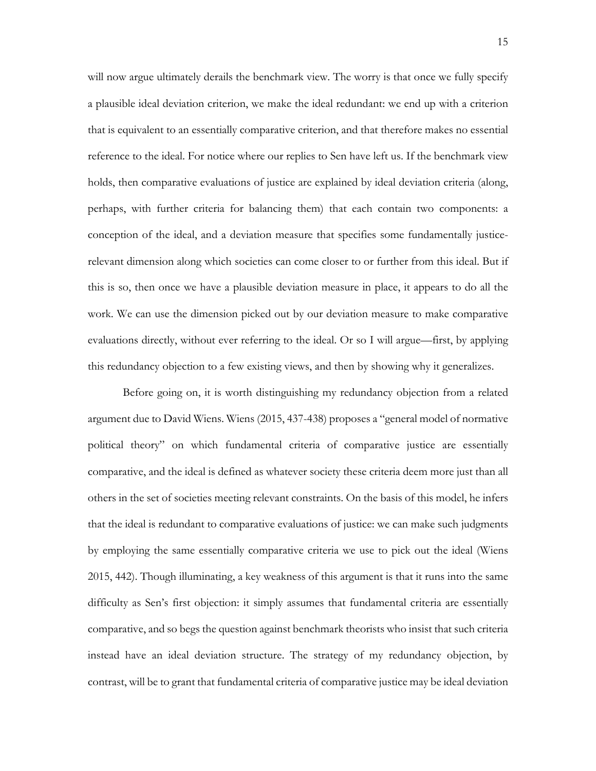will now argue ultimately derails the benchmark view. The worry is that once we fully specify a plausible ideal deviation criterion, we make the ideal redundant: we end up with a criterion that is equivalent to an essentially comparative criterion, and that therefore makes no essential reference to the ideal. For notice where our replies to Sen have left us. If the benchmark view holds, then comparative evaluations of justice are explained by ideal deviation criteria (along, perhaps, with further criteria for balancing them) that each contain two components: a conception of the ideal, and a deviation measure that specifies some fundamentally justicerelevant dimension along which societies can come closer to or further from this ideal. But if this is so, then once we have a plausible deviation measure in place, it appears to do all the work. We can use the dimension picked out by our deviation measure to make comparative evaluations directly, without ever referring to the ideal. Or so I will argue—first, by applying this redundancy objection to a few existing views, and then by showing why it generalizes.

Before going on, it is worth distinguishing my redundancy objection from a related argument due to David Wiens. Wiens (2015, 437-438) proposes a "general model of normative political theory" on which fundamental criteria of comparative justice are essentially comparative, and the ideal is defined as whatever society these criteria deem more just than all others in the set of societies meeting relevant constraints. On the basis of this model, he infers that the ideal is redundant to comparative evaluations of justice: we can make such judgments by employing the same essentially comparative criteria we use to pick out the ideal (Wiens 2015, 442). Though illuminating, a key weakness of this argument is that it runs into the same difficulty as Sen's first objection: it simply assumes that fundamental criteria are essentially comparative, and so begs the question against benchmark theorists who insist that such criteria instead have an ideal deviation structure. The strategy of my redundancy objection, by contrast, will be to grant that fundamental criteria of comparative justice may be ideal deviation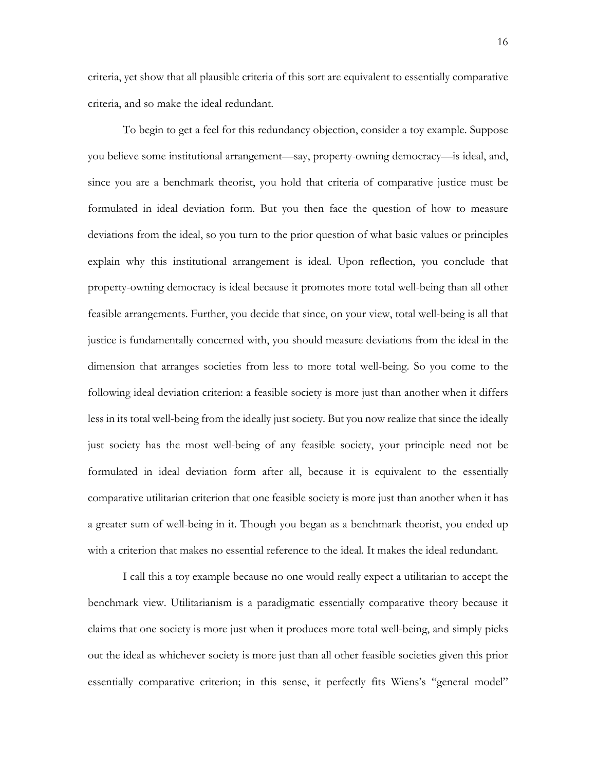criteria, yet show that all plausible criteria of this sort are equivalent to essentially comparative criteria, and so make the ideal redundant.

To begin to get a feel for this redundancy objection, consider a toy example. Suppose you believe some institutional arrangement—say, property-owning democracy—is ideal, and, since you are a benchmark theorist, you hold that criteria of comparative justice must be formulated in ideal deviation form. But you then face the question of how to measure deviations from the ideal, so you turn to the prior question of what basic values or principles explain why this institutional arrangement is ideal. Upon reflection, you conclude that property-owning democracy is ideal because it promotes more total well-being than all other feasible arrangements. Further, you decide that since, on your view, total well-being is all that justice is fundamentally concerned with, you should measure deviations from the ideal in the dimension that arranges societies from less to more total well-being. So you come to the following ideal deviation criterion: a feasible society is more just than another when it differs less in its total well-being from the ideally just society. But you now realize that since the ideally just society has the most well-being of any feasible society, your principle need not be formulated in ideal deviation form after all, because it is equivalent to the essentially comparative utilitarian criterion that one feasible society is more just than another when it has a greater sum of well-being in it. Though you began as a benchmark theorist, you ended up with a criterion that makes no essential reference to the ideal. It makes the ideal redundant.

I call this a toy example because no one would really expect a utilitarian to accept the benchmark view. Utilitarianism is a paradigmatic essentially comparative theory because it claims that one society is more just when it produces more total well-being, and simply picks out the ideal as whichever society is more just than all other feasible societies given this prior essentially comparative criterion; in this sense, it perfectly fits Wiens's "general model"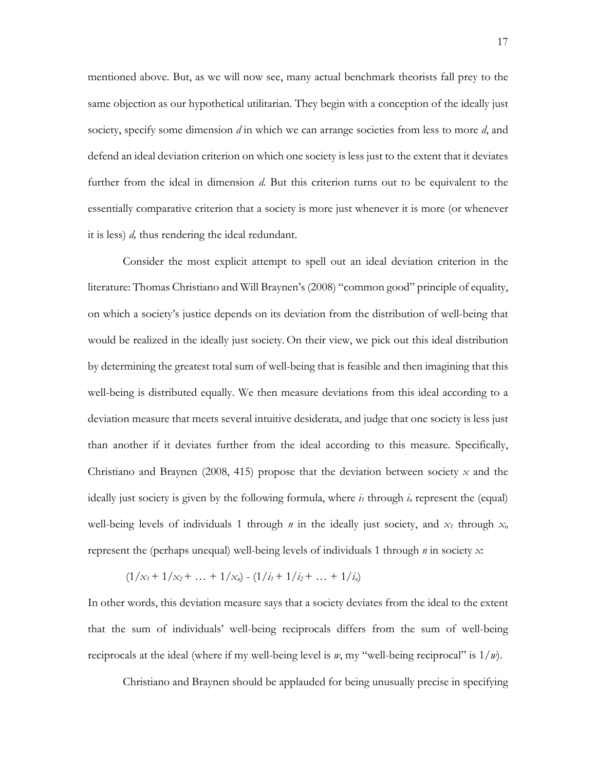mentioned above. But, as we will now see, many actual benchmark theorists fall prey to the same objection as our hypothetical utilitarian. They begin with a conception of the ideally just society, specify some dimension *d* in which we can arrange societies from less to more *d*, and defend an ideal deviation criterion on which one society is less just to the extent that it deviates further from the ideal in dimension *d*. But this criterion turns out to be equivalent to the essentially comparative criterion that a society is more just whenever it is more (or whenever it is less) *d,* thus rendering the ideal redundant.

Consider the most explicit attempt to spell out an ideal deviation criterion in the literature: Thomas Christiano and Will Braynen's (2008) "common good" principle of equality, on which a society's justice depends on its deviation from the distribution of well-being that would be realized in the ideally just society. On their view, we pick out this ideal distribution by determining the greatest total sum of well-being that is feasible and then imagining that this well-being is distributed equally. We then measure deviations from this ideal according to a deviation measure that meets several intuitive desiderata, and judge that one society is less just than another if it deviates further from the ideal according to this measure. Specifically, Christiano and Braynen (2008, 415) propose that the deviation between society *x* and the ideally just society is given by the following formula, where  $i_1$  through  $i_n$  represent the (equal) well-being levels of individuals 1 through *n* in the ideally just society, and  $x_1$  through  $x_n$ represent the (perhaps unequal) well-being levels of individuals 1 through *n* in society *x*:

$$
(1/x_1+1/x_2+\ldots+1/x_n)-(1/i_1+1/i_2+\ldots+1/i_n)
$$

In other words, this deviation measure says that a society deviates from the ideal to the extent that the sum of individuals' well-being reciprocals differs from the sum of well-being reciprocals at the ideal (where if my well-being level is  $w$ , my "well-being reciprocal" is  $1/w$ ).

Christiano and Braynen should be applauded for being unusually precise in specifying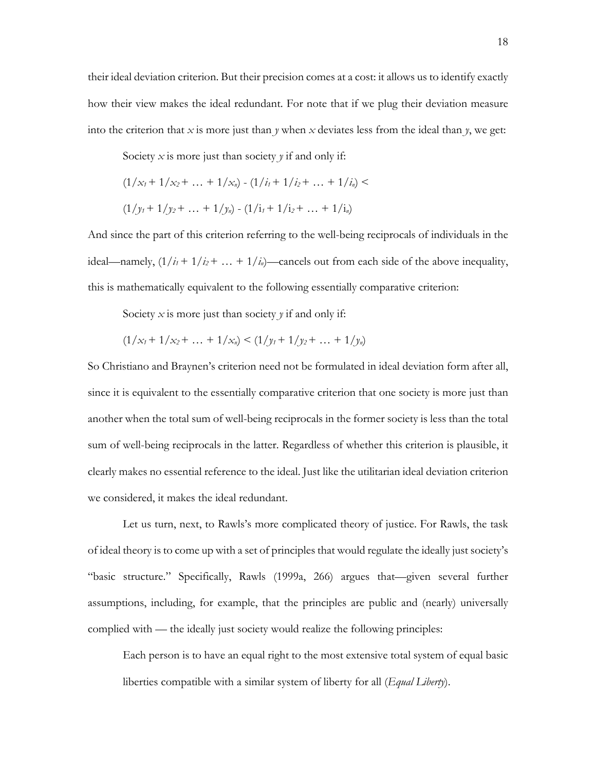their ideal deviation criterion. But their precision comes at a cost: it allows us to identify exactly how their view makes the ideal redundant. For note that if we plug their deviation measure into the criterion that *x* is more just than *y* when *x* deviates less from the ideal than *y*, we get:

Society *x* is more just than society *y* if and only if:

$$
(1/x_1 + 1/x_2 + \dots + 1/x_n) - (1/i_1 + 1/i_2 + \dots + 1/i_n) <
$$
  

$$
(1/y_1 + 1/y_2 + \dots + 1/y_n) - (1/i_1 + 1/i_2 + \dots + 1/i_n)
$$

And since the part of this criterion referring to the well-being reciprocals of individuals in the ideal—namely,  $\left(\frac{1}{i_1} + \frac{1}{i_2} + \ldots + \frac{1}{i_n}\right)$ —cancels out from each side of the above inequality, this is mathematically equivalent to the following essentially comparative criterion:

Society *x* is more just than society *y* if and only if:

$$
(1/x_1+1/x_2+\ldots+1/x_n) < (1/y_1+1/y_2+\ldots+1/y_n)
$$

So Christiano and Braynen's criterion need not be formulated in ideal deviation form after all, since it is equivalent to the essentially comparative criterion that one society is more just than another when the total sum of well-being reciprocals in the former society is less than the total sum of well-being reciprocals in the latter. Regardless of whether this criterion is plausible, it clearly makes no essential reference to the ideal. Just like the utilitarian ideal deviation criterion we considered, it makes the ideal redundant.

Let us turn, next, to Rawls's more complicated theory of justice. For Rawls, the task of ideal theory is to come up with a set of principles that would regulate the ideally just society's "basic structure." Specifically, Rawls (1999a, 266) argues that—given several further assumptions, including, for example, that the principles are public and (nearly) universally complied with — the ideally just society would realize the following principles:

Each person is to have an equal right to the most extensive total system of equal basic liberties compatible with a similar system of liberty for all (*Equal Liberty*).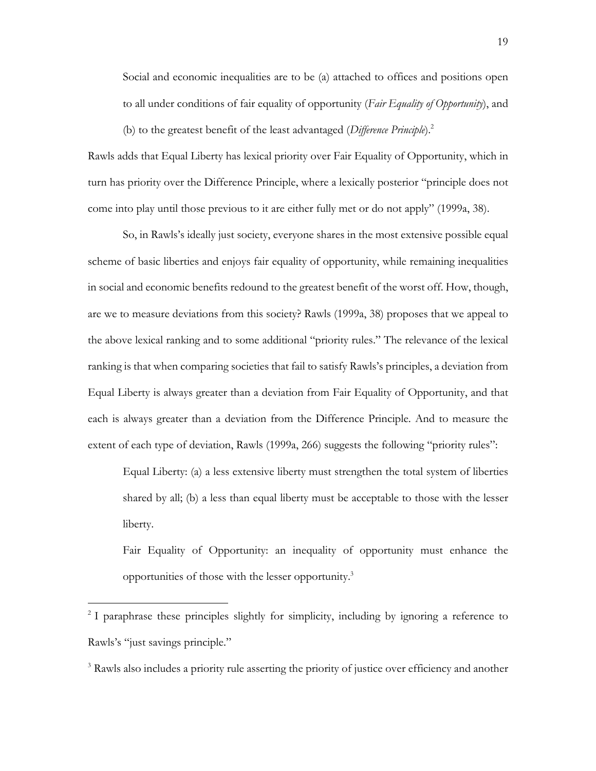Social and economic inequalities are to be (a) attached to offices and positions open to all under conditions of fair equality of opportunity (*Fair Equality of Opportunity*), and

(b) to the greatest benefit of the least advantaged (*Difference Principle*).2

Rawls adds that Equal Liberty has lexical priority over Fair Equality of Opportunity, which in turn has priority over the Difference Principle, where a lexically posterior "principle does not come into play until those previous to it are either fully met or do not apply" (1999a, 38).

So, in Rawls's ideally just society, everyone shares in the most extensive possible equal scheme of basic liberties and enjoys fair equality of opportunity, while remaining inequalities in social and economic benefits redound to the greatest benefit of the worst off. How, though, are we to measure deviations from this society? Rawls (1999a, 38) proposes that we appeal to the above lexical ranking and to some additional "priority rules." The relevance of the lexical ranking is that when comparing societies that fail to satisfy Rawls's principles, a deviation from Equal Liberty is always greater than a deviation from Fair Equality of Opportunity, and that each is always greater than a deviation from the Difference Principle. And to measure the extent of each type of deviation, Rawls (1999a, 266) suggests the following "priority rules":

Equal Liberty: (a) a less extensive liberty must strengthen the total system of liberties shared by all; (b) a less than equal liberty must be acceptable to those with the lesser liberty.

Fair Equality of Opportunity: an inequality of opportunity must enhance the opportunities of those with the lesser opportunity.3

<sup>&</sup>lt;sup>2</sup> I paraphrase these principles slightly for simplicity, including by ignoring a reference to Rawls's "just savings principle."

<sup>&</sup>lt;sup>3</sup> Rawls also includes a priority rule asserting the priority of justice over efficiency and another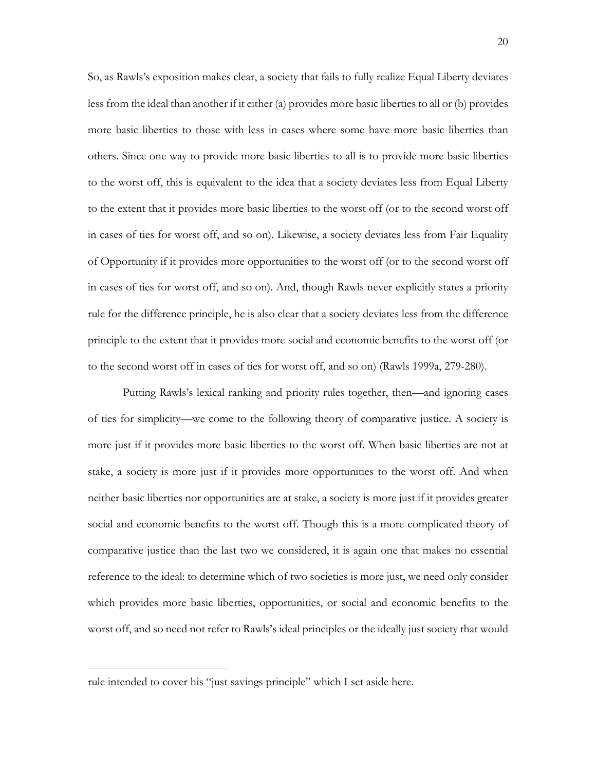So, as Rawls's exposition makes clear, a society that fails to fully realize Equal Liberty deviates less from the ideal than another if it either (a) provides more basic liberties to all or (b) provides more basic liberties to those with less in cases where some have more basic liberties than others. Since one way to provide more basic liberties to all is to provide more basic liberties to the worst off, this is equivalent to the idea that a society deviates less from Equal Liberty to the extent that it provides more basic liberties to the worst off (or to the second worst off in cases of ties for worst off, and so on). Likewise, a society deviates less from Fair Equality of Opportunity if it provides more opportunities to the worst off (or to the second worst off in cases of ties for worst off, and so on). And, though Rawls never explicitly states a priority rule for the difference principle, he is also clear that a society deviates less from the difference principle to the extent that it provides more social and economic benefits to the worst off (or to the second worst off in cases of ties for worst off, and so on) (Rawls 1999a, 279-280).

Putting Rawls's lexical ranking and priority rules together, then—and ignoring cases of ties for simplicity—we come to the following theory of comparative justice. A society is more just if it provides more basic liberties to the worst off. When basic liberties are not at stake, a society is more just if it provides more opportunities to the worst off. And when neither basic liberties nor opportunities are at stake, a society is more just if it provides greater social and economic benefits to the worst off. Though this is a more complicated theory of comparative justice than the last two we considered, it is again one that makes no essential reference to the ideal: to determine which of two societies is more just, we need only consider which provides more basic liberties, opportunities, or social and economic benefits to the worst off, and so need not refer to Rawls's ideal principles or the ideally just society that would

rule intended to cover his "just savings principle" which I set aside here.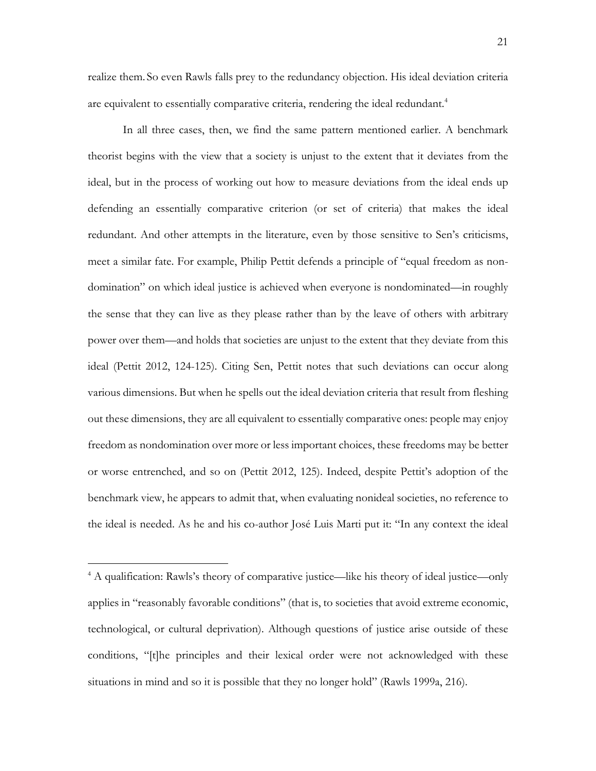realize them. So even Rawls falls prey to the redundancy objection. His ideal deviation criteria are equivalent to essentially comparative criteria, rendering the ideal redundant.<sup>4</sup>

In all three cases, then, we find the same pattern mentioned earlier. A benchmark theorist begins with the view that a society is unjust to the extent that it deviates from the ideal, but in the process of working out how to measure deviations from the ideal ends up defending an essentially comparative criterion (or set of criteria) that makes the ideal redundant. And other attempts in the literature, even by those sensitive to Sen's criticisms, meet a similar fate. For example, Philip Pettit defends a principle of "equal freedom as nondomination" on which ideal justice is achieved when everyone is nondominated—in roughly the sense that they can live as they please rather than by the leave of others with arbitrary power over them—and holds that societies are unjust to the extent that they deviate from this ideal (Pettit 2012, 124-125). Citing Sen, Pettit notes that such deviations can occur along various dimensions. But when he spells out the ideal deviation criteria that result from fleshing out these dimensions, they are all equivalent to essentially comparative ones: people may enjoy freedom as nondomination over more or less important choices, these freedoms may be better or worse entrenched, and so on (Pettit 2012, 125). Indeed, despite Pettit's adoption of the benchmark view, he appears to admit that, when evaluating nonideal societies, no reference to the ideal is needed. As he and his co-author José Luis Marti put it: "In any context the ideal

<sup>&</sup>lt;sup>4</sup> A qualification: Rawls's theory of comparative justice—like his theory of ideal justice—only applies in "reasonably favorable conditions" (that is, to societies that avoid extreme economic, technological, or cultural deprivation). Although questions of justice arise outside of these conditions, "[t]he principles and their lexical order were not acknowledged with these situations in mind and so it is possible that they no longer hold" (Rawls 1999a, 216).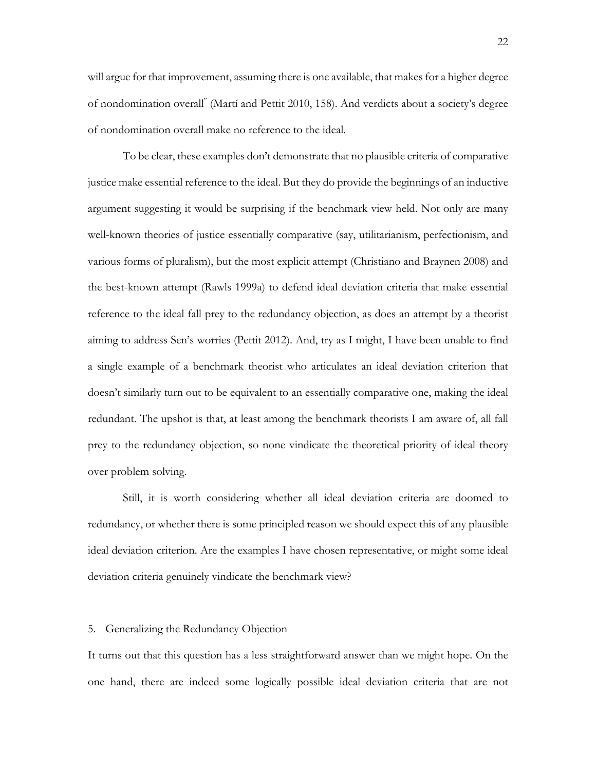will argue for that improvement, assuming there is one available, that makes for a higher degree of nondomination overall" (Martí and Pettit 2010, 158). And verdicts about a society's degree of nondomination overall make no reference to the ideal.

To be clear, these examples don't demonstrate that no plausible criteria of comparative justice make essential reference to the ideal. But they do provide the beginnings of an inductive argument suggesting it would be surprising if the benchmark view held. Not only are many well-known theories of justice essentially comparative (say, utilitarianism, perfectionism, and various forms of pluralism), but the most explicit attempt (Christiano and Braynen 2008) and the best-known attempt (Rawls 1999a) to defend ideal deviation criteria that make essential reference to the ideal fall prey to the redundancy objection, as does an attempt by a theorist aiming to address Sen's worries (Pettit 2012). And, try as I might, I have been unable to find a single example of a benchmark theorist who articulates an ideal deviation criterion that doesn't similarly turn out to be equivalent to an essentially comparative one, making the ideal redundant. The upshot is that, at least among the benchmark theorists I am aware of, all fall prey to the redundancy objection, so none vindicate the theoretical priority of ideal theory over problem solving.

Still, it is worth considering whether all ideal deviation criteria are doomed to redundancy, or whether there is some principled reason we should expect this of any plausible ideal deviation criterion. Are the examples I have chosen representative, or might some ideal deviation criteria genuinely vindicate the benchmark view?

# 5. Generalizing the Redundancy Objection

It turns out that this question has a less straightforward answer than we might hope. On the one hand, there are indeed some logically possible ideal deviation criteria that are not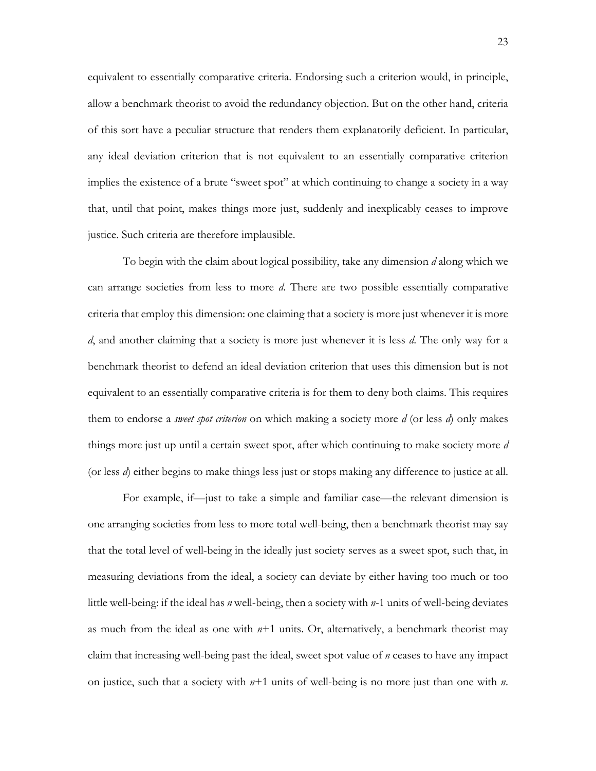equivalent to essentially comparative criteria. Endorsing such a criterion would, in principle, allow a benchmark theorist to avoid the redundancy objection. But on the other hand, criteria of this sort have a peculiar structure that renders them explanatorily deficient. In particular, any ideal deviation criterion that is not equivalent to an essentially comparative criterion implies the existence of a brute "sweet spot" at which continuing to change a society in a way that, until that point, makes things more just, suddenly and inexplicably ceases to improve justice. Such criteria are therefore implausible.

To begin with the claim about logical possibility, take any dimension *d* along which we can arrange societies from less to more *d*. There are two possible essentially comparative criteria that employ this dimension: one claiming that a society is more just whenever it is more *d*, and another claiming that a society is more just whenever it is less *d*. The only way for a benchmark theorist to defend an ideal deviation criterion that uses this dimension but is not equivalent to an essentially comparative criteria is for them to deny both claims. This requires them to endorse a *sweet spot criterion* on which making a society more *d* (or less *d*) only makes things more just up until a certain sweet spot, after which continuing to make society more *d*  (or less *d*) either begins to make things less just or stops making any difference to justice at all.

For example, if—just to take a simple and familiar case—the relevant dimension is one arranging societies from less to more total well-being, then a benchmark theorist may say that the total level of well-being in the ideally just society serves as a sweet spot, such that, in measuring deviations from the ideal, a society can deviate by either having too much or too little well-being: if the ideal has *n* well-being, then a society with *n*-1 units of well-being deviates as much from the ideal as one with  $n+1$  units. Or, alternatively, a benchmark theorist may claim that increasing well-being past the ideal, sweet spot value of *n* ceases to have any impact on justice, such that a society with *n*+1 units of well-being is no more just than one with *n*.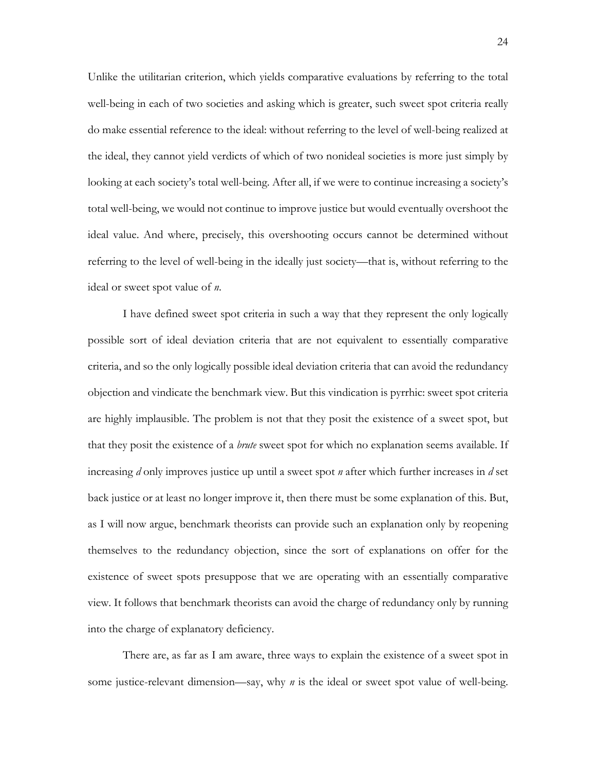Unlike the utilitarian criterion, which yields comparative evaluations by referring to the total well-being in each of two societies and asking which is greater, such sweet spot criteria really do make essential reference to the ideal: without referring to the level of well-being realized at the ideal, they cannot yield verdicts of which of two nonideal societies is more just simply by looking at each society's total well-being. After all, if we were to continue increasing a society's total well-being, we would not continue to improve justice but would eventually overshoot the ideal value. And where, precisely, this overshooting occurs cannot be determined without referring to the level of well-being in the ideally just society—that is, without referring to the ideal or sweet spot value of *n*.

I have defined sweet spot criteria in such a way that they represent the only logically possible sort of ideal deviation criteria that are not equivalent to essentially comparative criteria, and so the only logically possible ideal deviation criteria that can avoid the redundancy objection and vindicate the benchmark view. But this vindication is pyrrhic: sweet spot criteria are highly implausible. The problem is not that they posit the existence of a sweet spot, but that they posit the existence of a *brute* sweet spot for which no explanation seems available. If increasing *d* only improves justice up until a sweet spot *n* after which further increases in *d* set back justice or at least no longer improve it, then there must be some explanation of this. But, as I will now argue, benchmark theorists can provide such an explanation only by reopening themselves to the redundancy objection, since the sort of explanations on offer for the existence of sweet spots presuppose that we are operating with an essentially comparative view. It follows that benchmark theorists can avoid the charge of redundancy only by running into the charge of explanatory deficiency.

There are, as far as I am aware, three ways to explain the existence of a sweet spot in some justice-relevant dimension—say, why *n* is the ideal or sweet spot value of well-being.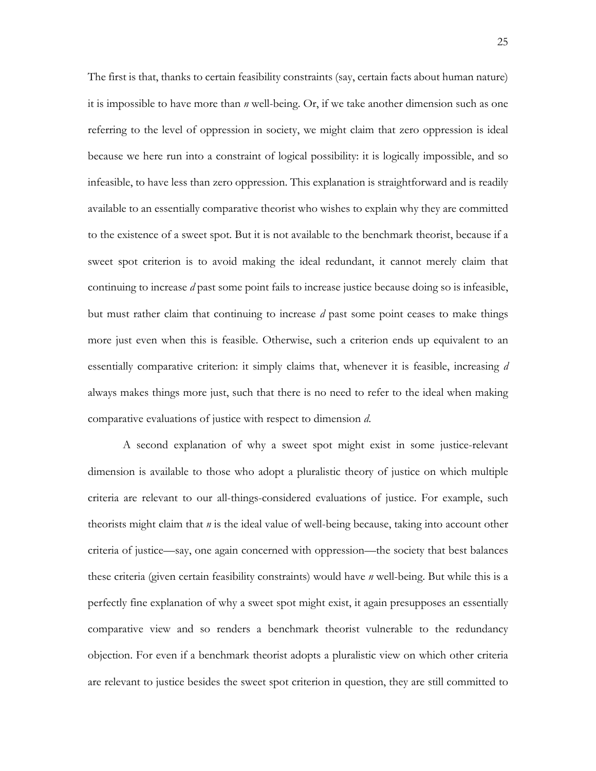The first is that, thanks to certain feasibility constraints (say, certain facts about human nature) it is impossible to have more than *n* well-being. Or, if we take another dimension such as one referring to the level of oppression in society, we might claim that zero oppression is ideal because we here run into a constraint of logical possibility: it is logically impossible, and so infeasible, to have less than zero oppression. This explanation is straightforward and is readily available to an essentially comparative theorist who wishes to explain why they are committed to the existence of a sweet spot. But it is not available to the benchmark theorist, because if a sweet spot criterion is to avoid making the ideal redundant, it cannot merely claim that continuing to increase *d* past some point fails to increase justice because doing so is infeasible, but must rather claim that continuing to increase *d* past some point ceases to make things more just even when this is feasible. Otherwise, such a criterion ends up equivalent to an essentially comparative criterion: it simply claims that, whenever it is feasible, increasing *d* always makes things more just, such that there is no need to refer to the ideal when making comparative evaluations of justice with respect to dimension *d*.

A second explanation of why a sweet spot might exist in some justice-relevant dimension is available to those who adopt a pluralistic theory of justice on which multiple criteria are relevant to our all-things-considered evaluations of justice. For example, such theorists might claim that *n* is the ideal value of well-being because, taking into account other criteria of justice—say, one again concerned with oppression—the society that best balances these criteria (given certain feasibility constraints) would have *n* well-being. But while this is a perfectly fine explanation of why a sweet spot might exist, it again presupposes an essentially comparative view and so renders a benchmark theorist vulnerable to the redundancy objection. For even if a benchmark theorist adopts a pluralistic view on which other criteria are relevant to justice besides the sweet spot criterion in question, they are still committed to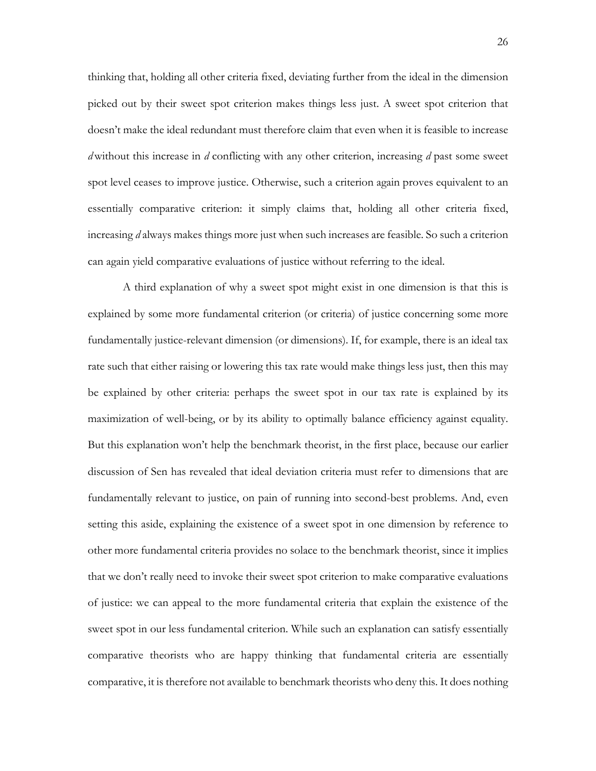thinking that, holding all other criteria fixed, deviating further from the ideal in the dimension picked out by their sweet spot criterion makes things less just. A sweet spot criterion that doesn't make the ideal redundant must therefore claim that even when it is feasible to increase *d* without this increase in *d* conflicting with any other criterion, increasing *d* past some sweet spot level ceases to improve justice. Otherwise, such a criterion again proves equivalent to an essentially comparative criterion: it simply claims that, holding all other criteria fixed, increasing *d* always makes things more just when such increases are feasible. So such a criterion can again yield comparative evaluations of justice without referring to the ideal.

A third explanation of why a sweet spot might exist in one dimension is that this is explained by some more fundamental criterion (or criteria) of justice concerning some more fundamentally justice-relevant dimension (or dimensions). If, for example, there is an ideal tax rate such that either raising or lowering this tax rate would make things less just, then this may be explained by other criteria: perhaps the sweet spot in our tax rate is explained by its maximization of well-being, or by its ability to optimally balance efficiency against equality. But this explanation won't help the benchmark theorist, in the first place, because our earlier discussion of Sen has revealed that ideal deviation criteria must refer to dimensions that are fundamentally relevant to justice, on pain of running into second-best problems. And, even setting this aside, explaining the existence of a sweet spot in one dimension by reference to other more fundamental criteria provides no solace to the benchmark theorist, since it implies that we don't really need to invoke their sweet spot criterion to make comparative evaluations of justice: we can appeal to the more fundamental criteria that explain the existence of the sweet spot in our less fundamental criterion. While such an explanation can satisfy essentially comparative theorists who are happy thinking that fundamental criteria are essentially comparative, it is therefore not available to benchmark theorists who deny this. It does nothing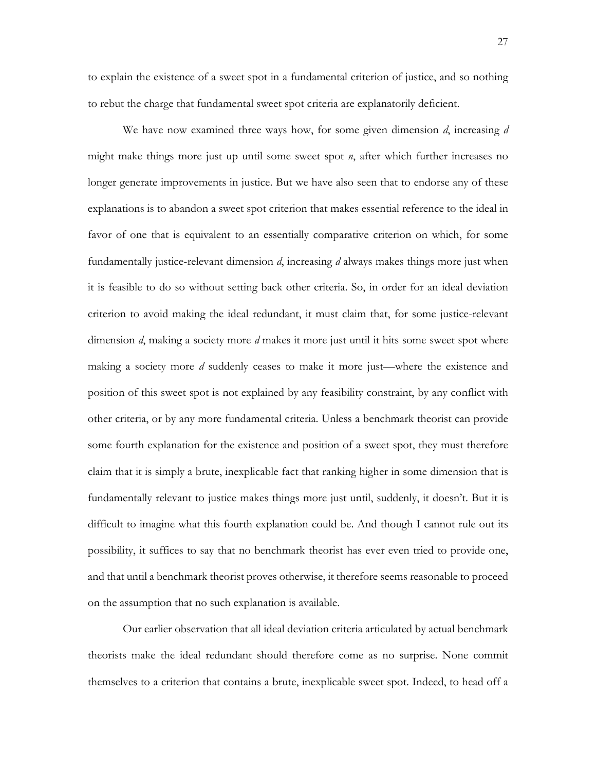to explain the existence of a sweet spot in a fundamental criterion of justice, and so nothing to rebut the charge that fundamental sweet spot criteria are explanatorily deficient.

We have now examined three ways how, for some given dimension *d*, increasing *d*  might make things more just up until some sweet spot *n*, after which further increases no longer generate improvements in justice. But we have also seen that to endorse any of these explanations is to abandon a sweet spot criterion that makes essential reference to the ideal in favor of one that is equivalent to an essentially comparative criterion on which, for some fundamentally justice-relevant dimension *d*, increasing *d* always makes things more just when it is feasible to do so without setting back other criteria. So, in order for an ideal deviation criterion to avoid making the ideal redundant, it must claim that, for some justice-relevant dimension *d*, making a society more *d* makes it more just until it hits some sweet spot where making a society more *d* suddenly ceases to make it more just—where the existence and position of this sweet spot is not explained by any feasibility constraint, by any conflict with other criteria, or by any more fundamental criteria. Unless a benchmark theorist can provide some fourth explanation for the existence and position of a sweet spot, they must therefore claim that it is simply a brute, inexplicable fact that ranking higher in some dimension that is fundamentally relevant to justice makes things more just until, suddenly, it doesn't. But it is difficult to imagine what this fourth explanation could be. And though I cannot rule out its possibility, it suffices to say that no benchmark theorist has ever even tried to provide one, and that until a benchmark theorist proves otherwise, it therefore seems reasonable to proceed on the assumption that no such explanation is available.

Our earlier observation that all ideal deviation criteria articulated by actual benchmark theorists make the ideal redundant should therefore come as no surprise. None commit themselves to a criterion that contains a brute, inexplicable sweet spot. Indeed, to head off a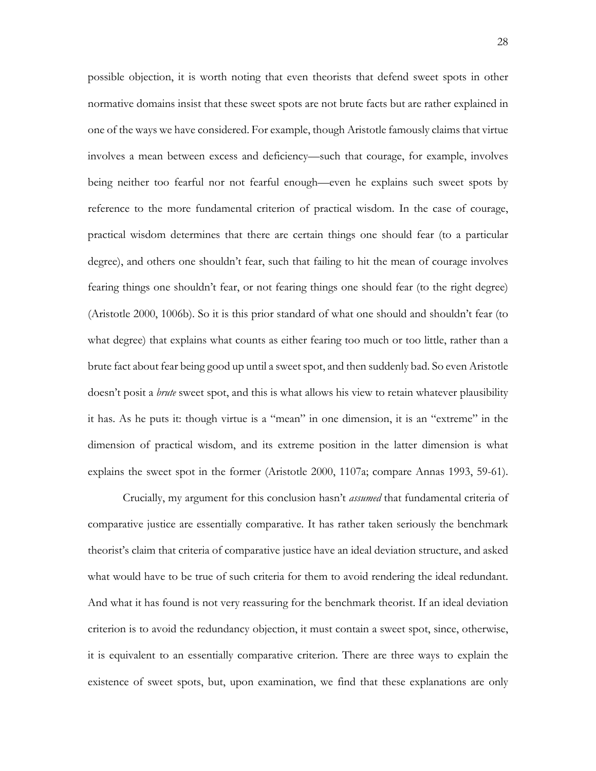possible objection, it is worth noting that even theorists that defend sweet spots in other normative domains insist that these sweet spots are not brute facts but are rather explained in one of the ways we have considered. For example, though Aristotle famously claims that virtue involves a mean between excess and deficiency—such that courage, for example, involves being neither too fearful nor not fearful enough—even he explains such sweet spots by reference to the more fundamental criterion of practical wisdom. In the case of courage, practical wisdom determines that there are certain things one should fear (to a particular degree), and others one shouldn't fear, such that failing to hit the mean of courage involves fearing things one shouldn't fear, or not fearing things one should fear (to the right degree) (Aristotle 2000, 1006b). So it is this prior standard of what one should and shouldn't fear (to what degree) that explains what counts as either fearing too much or too little, rather than a brute fact about fear being good up until a sweet spot, and then suddenly bad. So even Aristotle doesn't posit a *brute* sweet spot, and this is what allows his view to retain whatever plausibility it has. As he puts it: though virtue is a "mean" in one dimension, it is an "extreme" in the dimension of practical wisdom, and its extreme position in the latter dimension is what explains the sweet spot in the former (Aristotle 2000, 1107a; compare Annas 1993, 59-61).

Crucially, my argument for this conclusion hasn't *assumed* that fundamental criteria of comparative justice are essentially comparative. It has rather taken seriously the benchmark theorist's claim that criteria of comparative justice have an ideal deviation structure, and asked what would have to be true of such criteria for them to avoid rendering the ideal redundant. And what it has found is not very reassuring for the benchmark theorist. If an ideal deviation criterion is to avoid the redundancy objection, it must contain a sweet spot, since, otherwise, it is equivalent to an essentially comparative criterion. There are three ways to explain the existence of sweet spots, but, upon examination, we find that these explanations are only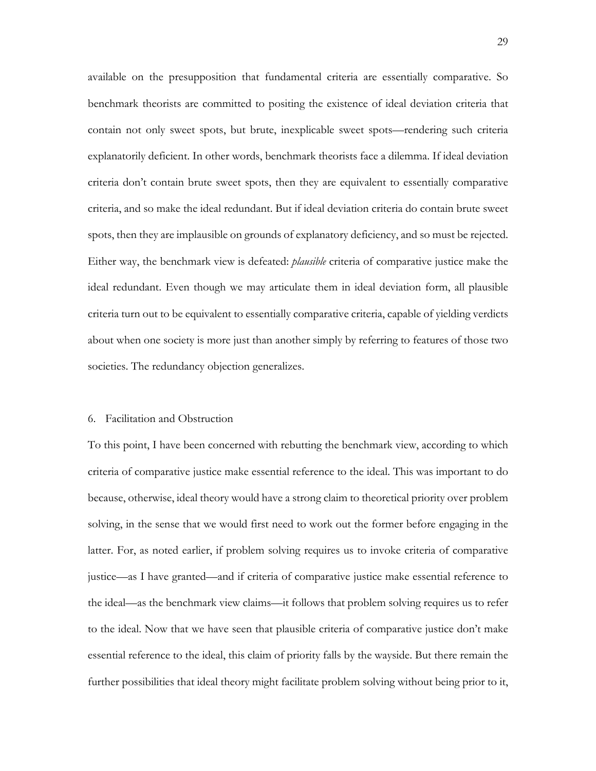available on the presupposition that fundamental criteria are essentially comparative. So benchmark theorists are committed to positing the existence of ideal deviation criteria that contain not only sweet spots, but brute, inexplicable sweet spots—rendering such criteria explanatorily deficient. In other words, benchmark theorists face a dilemma. If ideal deviation criteria don't contain brute sweet spots, then they are equivalent to essentially comparative criteria, and so make the ideal redundant. But if ideal deviation criteria do contain brute sweet spots, then they are implausible on grounds of explanatory deficiency, and so must be rejected. Either way, the benchmark view is defeated: *plausible* criteria of comparative justice make the ideal redundant. Even though we may articulate them in ideal deviation form, all plausible criteria turn out to be equivalent to essentially comparative criteria, capable of yielding verdicts about when one society is more just than another simply by referring to features of those two societies. The redundancy objection generalizes.

## 6. Facilitation and Obstruction

To this point, I have been concerned with rebutting the benchmark view, according to which criteria of comparative justice make essential reference to the ideal. This was important to do because, otherwise, ideal theory would have a strong claim to theoretical priority over problem solving, in the sense that we would first need to work out the former before engaging in the latter. For, as noted earlier, if problem solving requires us to invoke criteria of comparative justice—as I have granted—and if criteria of comparative justice make essential reference to the ideal—as the benchmark view claims—it follows that problem solving requires us to refer to the ideal. Now that we have seen that plausible criteria of comparative justice don't make essential reference to the ideal, this claim of priority falls by the wayside. But there remain the further possibilities that ideal theory might facilitate problem solving without being prior to it,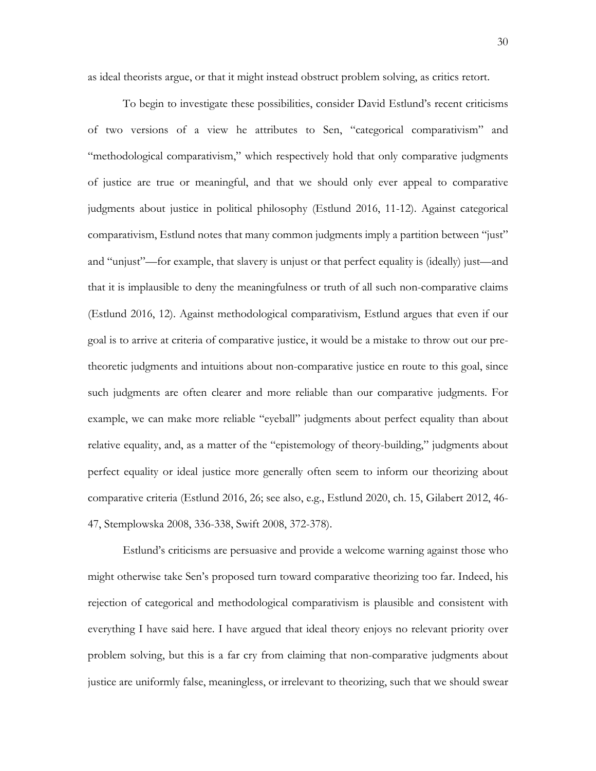as ideal theorists argue, or that it might instead obstruct problem solving, as critics retort.

To begin to investigate these possibilities, consider David Estlund's recent criticisms of two versions of a view he attributes to Sen, "categorical comparativism" and "methodological comparativism," which respectively hold that only comparative judgments of justice are true or meaningful, and that we should only ever appeal to comparative judgments about justice in political philosophy (Estlund 2016, 11-12). Against categorical comparativism, Estlund notes that many common judgments imply a partition between "just" and "unjust"—for example, that slavery is unjust or that perfect equality is (ideally) just—and that it is implausible to deny the meaningfulness or truth of all such non-comparative claims (Estlund 2016, 12). Against methodological comparativism, Estlund argues that even if our goal is to arrive at criteria of comparative justice, it would be a mistake to throw out our pretheoretic judgments and intuitions about non-comparative justice en route to this goal, since such judgments are often clearer and more reliable than our comparative judgments. For example, we can make more reliable "eyeball" judgments about perfect equality than about relative equality, and, as a matter of the "epistemology of theory-building," judgments about perfect equality or ideal justice more generally often seem to inform our theorizing about comparative criteria (Estlund 2016, 26; see also, e.g., Estlund 2020, ch. 15, Gilabert 2012, 46- 47, Stemplowska 2008, 336-338, Swift 2008, 372-378).

Estlund's criticisms are persuasive and provide a welcome warning against those who might otherwise take Sen's proposed turn toward comparative theorizing too far. Indeed, his rejection of categorical and methodological comparativism is plausible and consistent with everything I have said here. I have argued that ideal theory enjoys no relevant priority over problem solving, but this is a far cry from claiming that non-comparative judgments about justice are uniformly false, meaningless, or irrelevant to theorizing, such that we should swear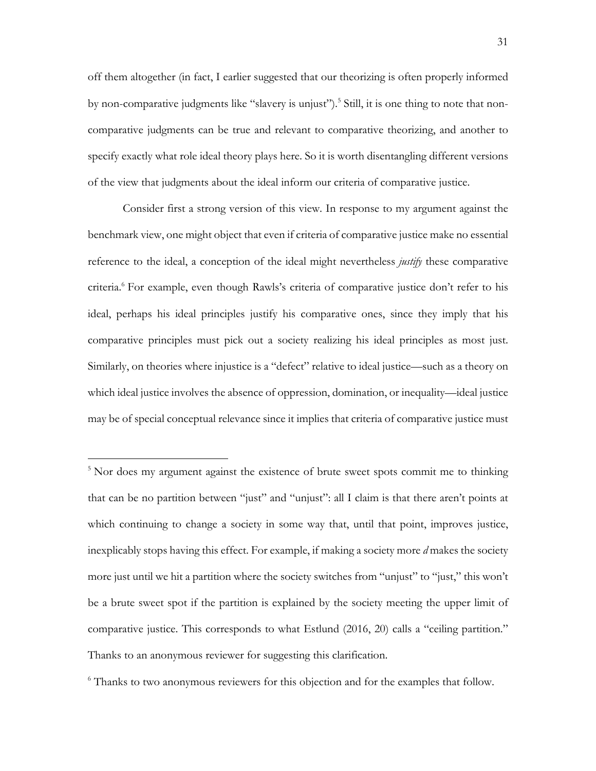off them altogether (in fact, I earlier suggested that our theorizing is often properly informed by non-comparative judgments like "slavery is unjust").<sup>5</sup> Still, it is one thing to note that noncomparative judgments can be true and relevant to comparative theorizing, and another to specify exactly what role ideal theory plays here. So it is worth disentangling different versions of the view that judgments about the ideal inform our criteria of comparative justice.

Consider first a strong version of this view. In response to my argument against the benchmark view, one might object that even if criteria of comparative justice make no essential reference to the ideal, a conception of the ideal might nevertheless *justify* these comparative criteria. <sup>6</sup> For example, even though Rawls's criteria of comparative justice don't refer to his ideal, perhaps his ideal principles justify his comparative ones, since they imply that his comparative principles must pick out a society realizing his ideal principles as most just. Similarly, on theories where injustice is a "defect" relative to ideal justice—such as a theory on which ideal justice involves the absence of oppression, domination, or inequality—ideal justice may be of special conceptual relevance since it implies that criteria of comparative justice must

<sup>&</sup>lt;sup>5</sup> Nor does my argument against the existence of brute sweet spots commit me to thinking that can be no partition between "just" and "unjust": all I claim is that there aren't points at which continuing to change a society in some way that, until that point, improves justice, inexplicably stops having this effect. For example, if making a society more *d* makes the society more just until we hit a partition where the society switches from "unjust" to "just," this won't be a brute sweet spot if the partition is explained by the society meeting the upper limit of comparative justice. This corresponds to what Estlund (2016, 20) calls a "ceiling partition." Thanks to an anonymous reviewer for suggesting this clarification.

<sup>&</sup>lt;sup>6</sup> Thanks to two anonymous reviewers for this objection and for the examples that follow.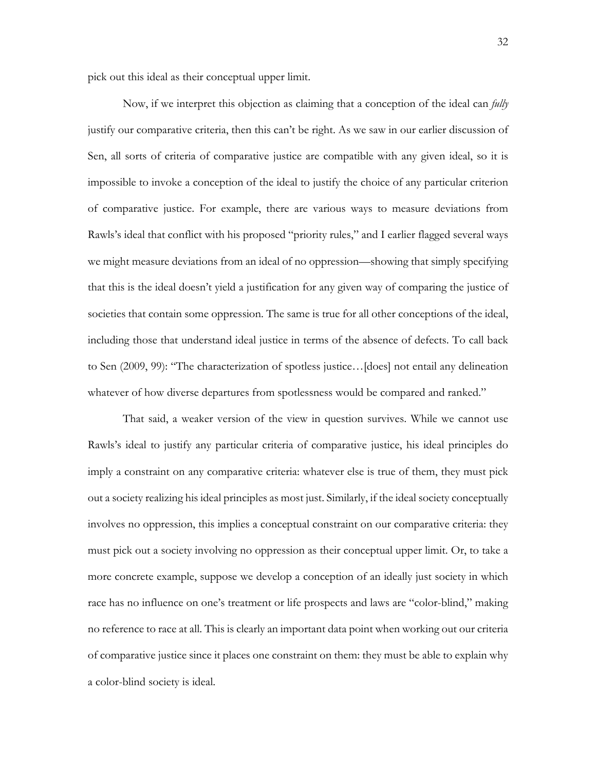pick out this ideal as their conceptual upper limit.

Now, if we interpret this objection as claiming that a conception of the ideal can *fully* justify our comparative criteria, then this can't be right. As we saw in our earlier discussion of Sen, all sorts of criteria of comparative justice are compatible with any given ideal, so it is impossible to invoke a conception of the ideal to justify the choice of any particular criterion of comparative justice. For example, there are various ways to measure deviations from Rawls's ideal that conflict with his proposed "priority rules," and I earlier flagged several ways we might measure deviations from an ideal of no oppression—showing that simply specifying that this is the ideal doesn't yield a justification for any given way of comparing the justice of societies that contain some oppression. The same is true for all other conceptions of the ideal, including those that understand ideal justice in terms of the absence of defects. To call back to Sen (2009, 99): "The characterization of spotless justice…[does] not entail any delineation whatever of how diverse departures from spotlessness would be compared and ranked."

That said, a weaker version of the view in question survives. While we cannot use Rawls's ideal to justify any particular criteria of comparative justice, his ideal principles do imply a constraint on any comparative criteria: whatever else is true of them, they must pick out a society realizing his ideal principles as most just. Similarly, if the ideal society conceptually involves no oppression, this implies a conceptual constraint on our comparative criteria: they must pick out a society involving no oppression as their conceptual upper limit. Or, to take a more concrete example, suppose we develop a conception of an ideally just society in which race has no influence on one's treatment or life prospects and laws are "color-blind," making no reference to race at all. This is clearly an important data point when working out our criteria of comparative justice since it places one constraint on them: they must be able to explain why a color-blind society is ideal.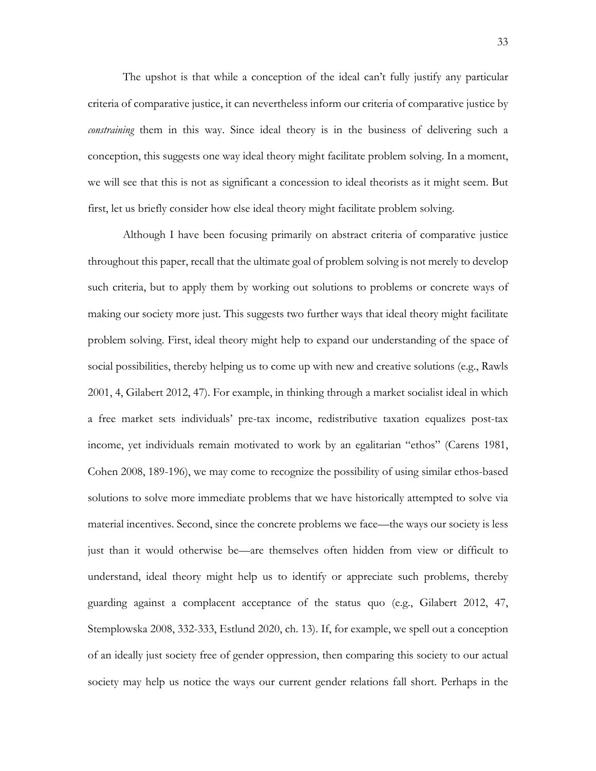The upshot is that while a conception of the ideal can't fully justify any particular criteria of comparative justice, it can nevertheless inform our criteria of comparative justice by *constraining* them in this way. Since ideal theory is in the business of delivering such a conception, this suggests one way ideal theory might facilitate problem solving. In a moment, we will see that this is not as significant a concession to ideal theorists as it might seem. But first, let us briefly consider how else ideal theory might facilitate problem solving.

Although I have been focusing primarily on abstract criteria of comparative justice throughout this paper, recall that the ultimate goal of problem solving is not merely to develop such criteria, but to apply them by working out solutions to problems or concrete ways of making our society more just. This suggests two further ways that ideal theory might facilitate problem solving. First, ideal theory might help to expand our understanding of the space of social possibilities, thereby helping us to come up with new and creative solutions (e.g., Rawls 2001, 4, Gilabert 2012, 47). For example, in thinking through a market socialist ideal in which a free market sets individuals' pre-tax income, redistributive taxation equalizes post-tax income, yet individuals remain motivated to work by an egalitarian "ethos" (Carens 1981, Cohen 2008, 189-196), we may come to recognize the possibility of using similar ethos-based solutions to solve more immediate problems that we have historically attempted to solve via material incentives. Second, since the concrete problems we face—the ways our society is less just than it would otherwise be—are themselves often hidden from view or difficult to understand, ideal theory might help us to identify or appreciate such problems, thereby guarding against a complacent acceptance of the status quo (e.g., Gilabert 2012, 47, Stemplowska 2008, 332-333, Estlund 2020, ch. 13). If, for example, we spell out a conception of an ideally just society free of gender oppression, then comparing this society to our actual society may help us notice the ways our current gender relations fall short. Perhaps in the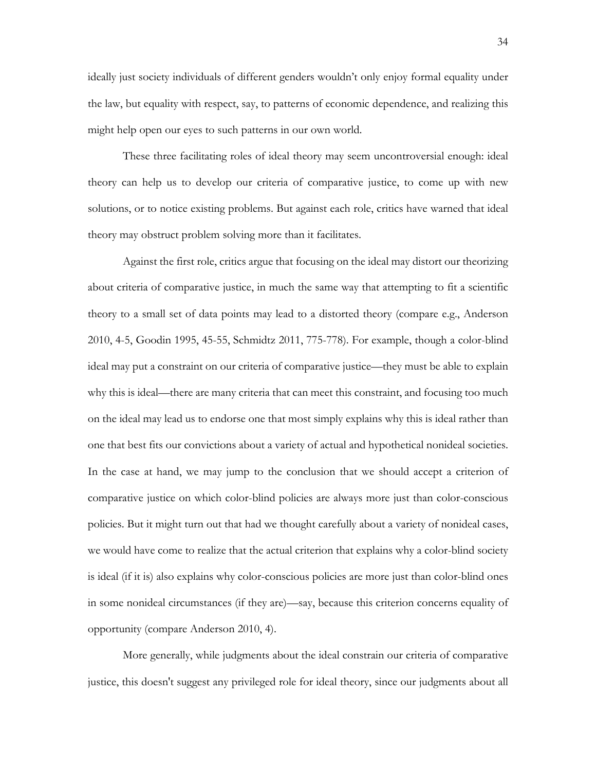ideally just society individuals of different genders wouldn't only enjoy formal equality under the law, but equality with respect, say, to patterns of economic dependence, and realizing this might help open our eyes to such patterns in our own world.

These three facilitating roles of ideal theory may seem uncontroversial enough: ideal theory can help us to develop our criteria of comparative justice, to come up with new solutions, or to notice existing problems. But against each role, critics have warned that ideal theory may obstruct problem solving more than it facilitates.

Against the first role, critics argue that focusing on the ideal may distort our theorizing about criteria of comparative justice, in much the same way that attempting to fit a scientific theory to a small set of data points may lead to a distorted theory (compare e.g., Anderson 2010, 4-5, Goodin 1995, 45-55, Schmidtz 2011, 775-778). For example, though a color-blind ideal may put a constraint on our criteria of comparative justice—they must be able to explain why this is ideal—there are many criteria that can meet this constraint, and focusing too much on the ideal may lead us to endorse one that most simply explains why this is ideal rather than one that best fits our convictions about a variety of actual and hypothetical nonideal societies. In the case at hand, we may jump to the conclusion that we should accept a criterion of comparative justice on which color-blind policies are always more just than color-conscious policies. But it might turn out that had we thought carefully about a variety of nonideal cases, we would have come to realize that the actual criterion that explains why a color-blind society is ideal (if it is) also explains why color-conscious policies are more just than color-blind ones in some nonideal circumstances (if they are)—say, because this criterion concerns equality of opportunity (compare Anderson 2010, 4).

More generally, while judgments about the ideal constrain our criteria of comparative justice, this doesn't suggest any privileged role for ideal theory, since our judgments about all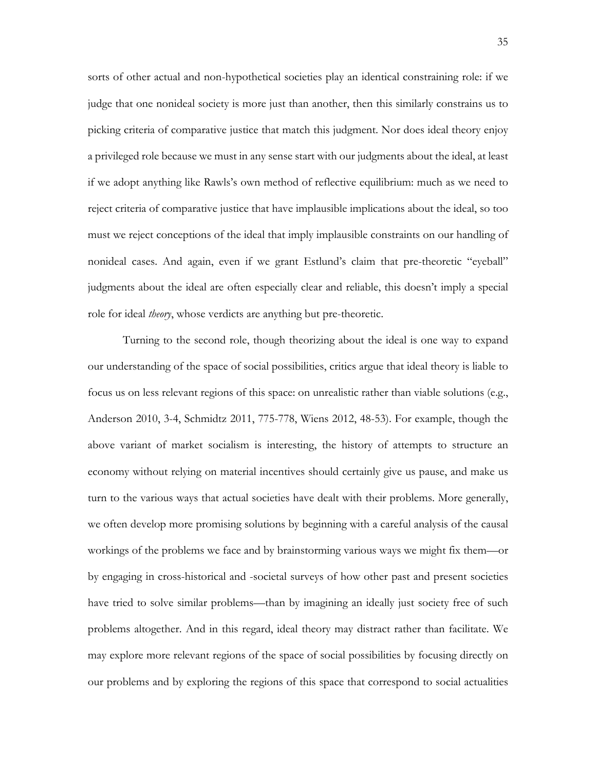sorts of other actual and non-hypothetical societies play an identical constraining role: if we judge that one nonideal society is more just than another, then this similarly constrains us to picking criteria of comparative justice that match this judgment. Nor does ideal theory enjoy a privileged role because we must in any sense start with our judgments about the ideal, at least if we adopt anything like Rawls's own method of reflective equilibrium: much as we need to reject criteria of comparative justice that have implausible implications about the ideal, so too must we reject conceptions of the ideal that imply implausible constraints on our handling of nonideal cases. And again, even if we grant Estlund's claim that pre-theoretic "eyeball" judgments about the ideal are often especially clear and reliable, this doesn't imply a special role for ideal *theory*, whose verdicts are anything but pre-theoretic.

Turning to the second role, though theorizing about the ideal is one way to expand our understanding of the space of social possibilities, critics argue that ideal theory is liable to focus us on less relevant regions of this space: on unrealistic rather than viable solutions (e.g., Anderson 2010, 3-4, Schmidtz 2011, 775-778, Wiens 2012, 48-53). For example, though the above variant of market socialism is interesting, the history of attempts to structure an economy without relying on material incentives should certainly give us pause, and make us turn to the various ways that actual societies have dealt with their problems. More generally, we often develop more promising solutions by beginning with a careful analysis of the causal workings of the problems we face and by brainstorming various ways we might fix them—or by engaging in cross-historical and -societal surveys of how other past and present societies have tried to solve similar problems—than by imagining an ideally just society free of such problems altogether. And in this regard, ideal theory may distract rather than facilitate. We may explore more relevant regions of the space of social possibilities by focusing directly on our problems and by exploring the regions of this space that correspond to social actualities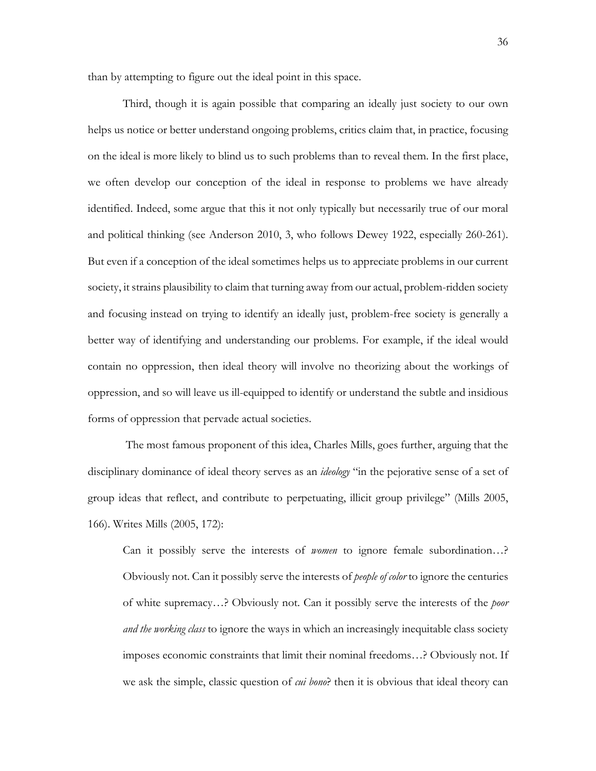than by attempting to figure out the ideal point in this space.

Third, though it is again possible that comparing an ideally just society to our own helps us notice or better understand ongoing problems, critics claim that, in practice, focusing on the ideal is more likely to blind us to such problems than to reveal them. In the first place, we often develop our conception of the ideal in response to problems we have already identified. Indeed, some argue that this it not only typically but necessarily true of our moral and political thinking (see Anderson 2010, 3, who follows Dewey 1922, especially 260-261). But even if a conception of the ideal sometimes helps us to appreciate problems in our current society, it strains plausibility to claim that turning away from our actual, problem-ridden society and focusing instead on trying to identify an ideally just, problem-free society is generally a better way of identifying and understanding our problems. For example, if the ideal would contain no oppression, then ideal theory will involve no theorizing about the workings of oppression, and so will leave us ill-equipped to identify or understand the subtle and insidious forms of oppression that pervade actual societies.

The most famous proponent of this idea, Charles Mills, goes further, arguing that the disciplinary dominance of ideal theory serves as an *ideology* "in the pejorative sense of a set of group ideas that reflect, and contribute to perpetuating, illicit group privilege" (Mills 2005, 166). Writes Mills (2005, 172):

Can it possibly serve the interests of *women* to ignore female subordination…? Obviously not. Can it possibly serve the interests of *people of color* to ignore the centuries of white supremacy…? Obviously not. Can it possibly serve the interests of the *poor and the working class* to ignore the ways in which an increasingly inequitable class society imposes economic constraints that limit their nominal freedoms…? Obviously not. If we ask the simple, classic question of *cui bono*? then it is obvious that ideal theory can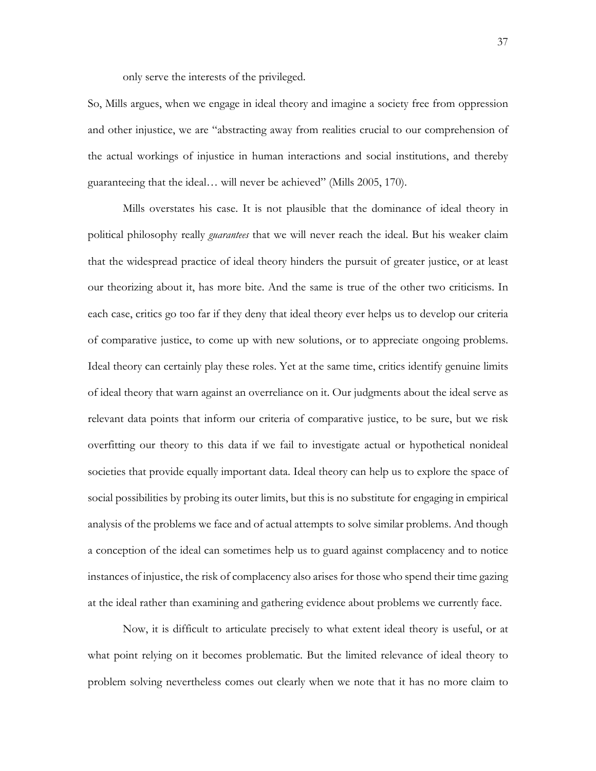only serve the interests of the privileged.

So, Mills argues, when we engage in ideal theory and imagine a society free from oppression and other injustice, we are "abstracting away from realities crucial to our comprehension of the actual workings of injustice in human interactions and social institutions, and thereby guaranteeing that the ideal… will never be achieved" (Mills 2005, 170).

Mills overstates his case. It is not plausible that the dominance of ideal theory in political philosophy really *guarantees* that we will never reach the ideal. But his weaker claim that the widespread practice of ideal theory hinders the pursuit of greater justice, or at least our theorizing about it, has more bite. And the same is true of the other two criticisms. In each case, critics go too far if they deny that ideal theory ever helps us to develop our criteria of comparative justice, to come up with new solutions, or to appreciate ongoing problems. Ideal theory can certainly play these roles. Yet at the same time, critics identify genuine limits of ideal theory that warn against an overreliance on it. Our judgments about the ideal serve as relevant data points that inform our criteria of comparative justice, to be sure, but we risk overfitting our theory to this data if we fail to investigate actual or hypothetical nonideal societies that provide equally important data. Ideal theory can help us to explore the space of social possibilities by probing its outer limits, but this is no substitute for engaging in empirical analysis of the problems we face and of actual attempts to solve similar problems. And though a conception of the ideal can sometimes help us to guard against complacency and to notice instances of injustice, the risk of complacency also arises for those who spend their time gazing at the ideal rather than examining and gathering evidence about problems we currently face.

Now, it is difficult to articulate precisely to what extent ideal theory is useful, or at what point relying on it becomes problematic. But the limited relevance of ideal theory to problem solving nevertheless comes out clearly when we note that it has no more claim to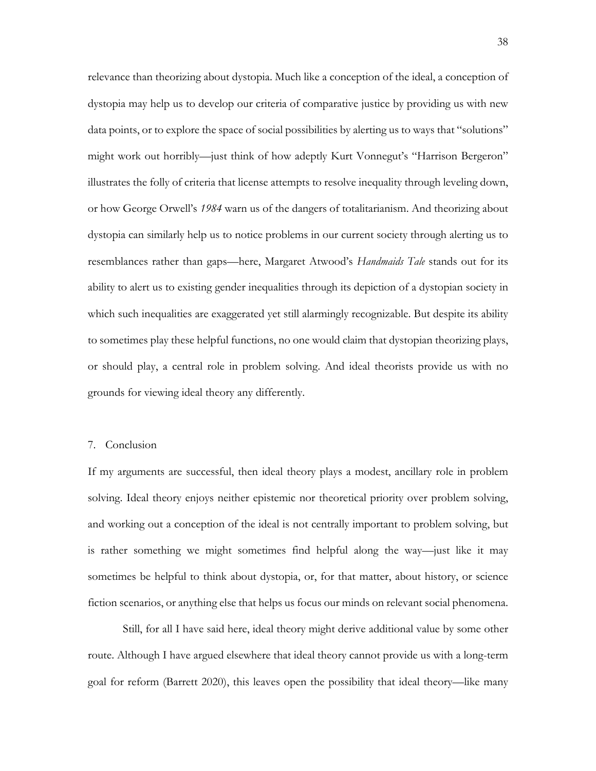relevance than theorizing about dystopia. Much like a conception of the ideal, a conception of dystopia may help us to develop our criteria of comparative justice by providing us with new data points, or to explore the space of social possibilities by alerting us to ways that "solutions" might work out horribly—just think of how adeptly Kurt Vonnegut's "Harrison Bergeron" illustrates the folly of criteria that license attempts to resolve inequality through leveling down, or how George Orwell's *1984* warn us of the dangers of totalitarianism. And theorizing about dystopia can similarly help us to notice problems in our current society through alerting us to resemblances rather than gaps—here, Margaret Atwood's *Handmaids Tale* stands out for its ability to alert us to existing gender inequalities through its depiction of a dystopian society in which such inequalities are exaggerated yet still alarmingly recognizable. But despite its ability to sometimes play these helpful functions, no one would claim that dystopian theorizing plays, or should play, a central role in problem solving. And ideal theorists provide us with no grounds for viewing ideal theory any differently.

## 7. Conclusion

If my arguments are successful, then ideal theory plays a modest, ancillary role in problem solving. Ideal theory enjoys neither epistemic nor theoretical priority over problem solving, and working out a conception of the ideal is not centrally important to problem solving, but is rather something we might sometimes find helpful along the way—just like it may sometimes be helpful to think about dystopia, or, for that matter, about history, or science fiction scenarios, or anything else that helps us focus our minds on relevant social phenomena.

Still, for all I have said here, ideal theory might derive additional value by some other route. Although I have argued elsewhere that ideal theory cannot provide us with a long-term goal for reform (Barrett 2020), this leaves open the possibility that ideal theory—like many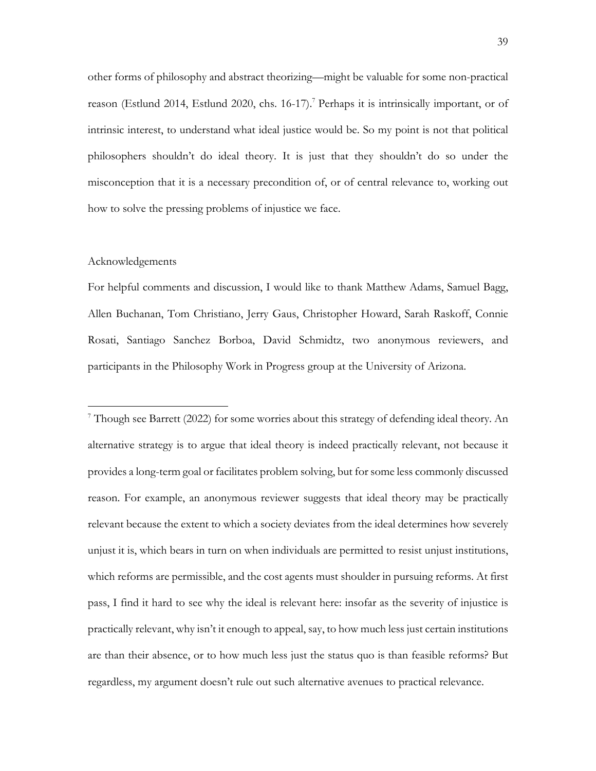other forms of philosophy and abstract theorizing—might be valuable for some non-practical reason (Estlund 2014, Estlund 2020, chs. 16-17). <sup>7</sup> Perhaps it is intrinsically important, or of intrinsic interest, to understand what ideal justice would be. So my point is not that political philosophers shouldn't do ideal theory. It is just that they shouldn't do so under the misconception that it is a necessary precondition of, or of central relevance to, working out how to solve the pressing problems of injustice we face.

## Acknowledgements

For helpful comments and discussion, I would like to thank Matthew Adams, Samuel Bagg, Allen Buchanan, Tom Christiano, Jerry Gaus, Christopher Howard, Sarah Raskoff, Connie Rosati, Santiago Sanchez Borboa, David Schmidtz, two anonymous reviewers, and participants in the Philosophy Work in Progress group at the University of Arizona.

<sup>7</sup> Though see Barrett (2022) for some worries about this strategy of defending ideal theory. An alternative strategy is to argue that ideal theory is indeed practically relevant, not because it provides a long-term goal or facilitates problem solving, but for some less commonly discussed reason. For example, an anonymous reviewer suggests that ideal theory may be practically relevant because the extent to which a society deviates from the ideal determines how severely unjust it is, which bears in turn on when individuals are permitted to resist unjust institutions, which reforms are permissible, and the cost agents must shoulder in pursuing reforms. At first pass, I find it hard to see why the ideal is relevant here: insofar as the severity of injustice is practically relevant, why isn't it enough to appeal, say, to how much less just certain institutions are than their absence, or to how much less just the status quo is than feasible reforms? But regardless, my argument doesn't rule out such alternative avenues to practical relevance.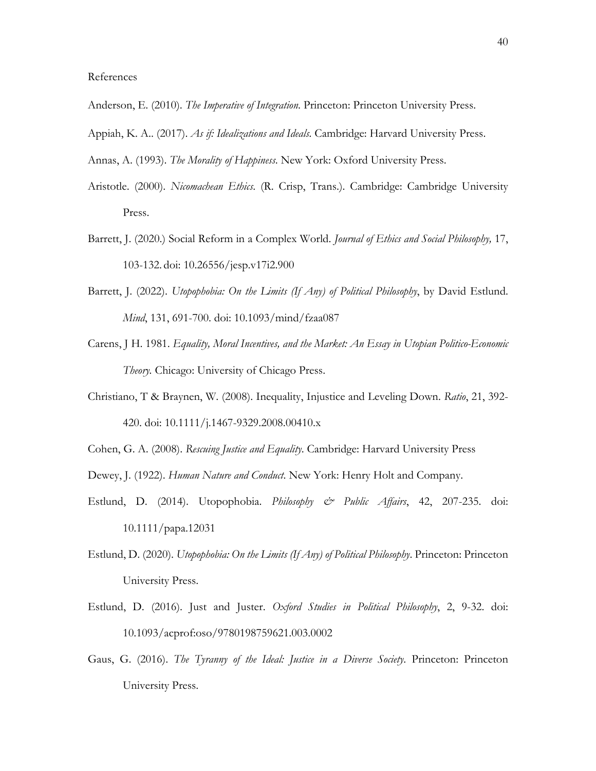- Anderson, E. (2010). *The Imperative of Integration*. Princeton: Princeton University Press.
- Appiah, K. A.. (2017). *As if: Idealizations and Ideals.* Cambridge: Harvard University Press.
- Annas, A. (1993). *The Morality of Happiness*. New York: Oxford University Press.
- Aristotle. (2000). *Nicomachean Ethics*. (R. Crisp, Trans.). Cambridge: Cambridge University Press.
- Barrett, J. (2020.) Social Reform in a Complex World. *Journal of Ethics and Social Philosophy,* 17, 103-132. doi: 10.26556/jesp.v17i2.900
- Barrett, J. (2022). *Utopophobia: On the Limits (If Any) of Political Philosophy*, by David Estlund. *Mind*, 131, 691-700. doi: 10.1093/mind/fzaa087
- Carens, J H. 1981. *Equality, Moral Incentives, and the Market: An Essay in Utopian Politico-Economic Theory.* Chicago: University of Chicago Press.
- Christiano, T & Braynen, W. (2008). Inequality, Injustice and Leveling Down. *Ratio*, 21, 392- 420. doi: 10.1111/j.1467-9329.2008.00410.x
- Cohen, G. A. (2008). *Rescuing Justice and Equality*. Cambridge: Harvard University Press
- Dewey, J. (1922). *Human Nature and Conduct*. New York: Henry Holt and Company.
- Estlund, D. (2014). Utopophobia. *Philosophy & Public Affairs*, 42, 207-235. doi: 10.1111/papa.12031
- Estlund, D. (2020). *Utopophobia: On the Limits (If Any) of Political Philosophy*. Princeton: Princeton University Press.
- Estlund, D. (2016). Just and Juster. *Oxford Studies in Political Philosophy*, 2, 9-32. doi: 10.1093/acprof:oso/9780198759621.003.0002
- Gaus, G. (2016). *The Tyranny of the Ideal: Justice in a Diverse Society*. Princeton: Princeton University Press.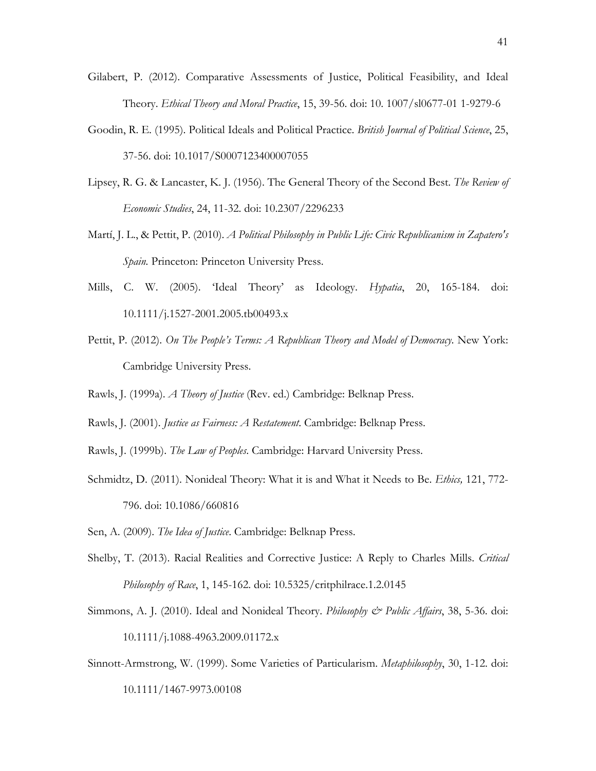- Gilabert, P. (2012). Comparative Assessments of Justice, Political Feasibility, and Ideal Theory. *Ethical Theory and Moral Practice*, 15, 39-56. doi: 10. 1007/sl0677-01 1-9279-6
- Goodin, R. E. (1995). Political Ideals and Political Practice. *British Journal of Political Science*, 25, 37-56. doi: 10.1017/S0007123400007055
- Lipsey, R. G. & Lancaster, K. J. (1956). The General Theory of the Second Best. *The Review of Economic Studies*, 24, 11-32. doi: 10.2307/2296233
- Martí, J. L., & Pettit, P. (2010). *A Political Philosophy in Public Life: Civic Republicanism in Zapatero's Spain.* Princeton: Princeton University Press.
- Mills, C. W. (2005). 'Ideal Theory' as Ideology. *Hypatia*, 20, 165-184. doi: 10.1111/j.1527-2001.2005.tb00493.x
- Pettit, P. (2012). *On The People's Terms: A Republican Theory and Model of Democracy*. New York: Cambridge University Press.
- Rawls, J. (1999a). *A Theory of Justice* (Rev. ed.) Cambridge: Belknap Press.
- Rawls, J. (2001). *Justice as Fairness: A Restatement*. Cambridge: Belknap Press.
- Rawls, J. (1999b). *The Law of Peoples*. Cambridge: Harvard University Press.
- Schmidtz, D. (2011). Nonideal Theory: What it is and What it Needs to Be. *Ethics,* 121, 772- 796. doi: 10.1086/660816
- Sen, A. (2009). *The Idea of Justice*. Cambridge: Belknap Press.
- Shelby, T. (2013). Racial Realities and Corrective Justice: A Reply to Charles Mills. *Critical Philosophy of Race*, 1, 145-162. doi: 10.5325/critphilrace.1.2.0145
- Simmons, A. J. (2010). Ideal and Nonideal Theory. *Philosophy & Public Affairs*, 38, 5-36. doi: 10.1111/j.1088-4963.2009.01172.x
- Sinnott-Armstrong, W. (1999). Some Varieties of Particularism. *Metaphilosophy*, 30, 1-12. doi: 10.1111/1467-9973.00108